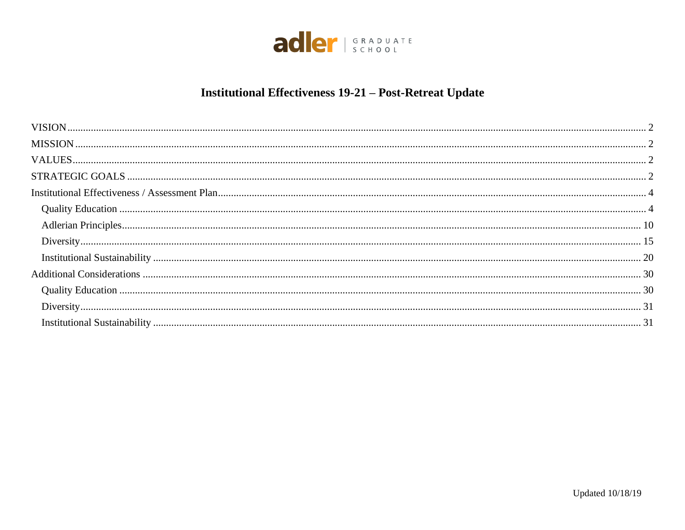

# **Institutional Effectiveness 19-21 - Post-Retreat Update**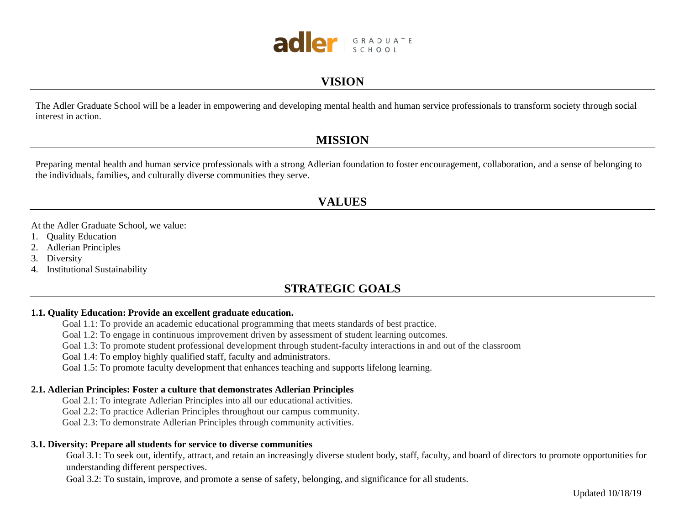

### **VISION**

<span id="page-1-0"></span>The Adler Graduate School will be a leader in empowering and developing mental health and human service professionals to transform society through social interest in action.

### **MISSION**

<span id="page-1-1"></span>Preparing mental health and human service professionals with a strong Adlerian foundation to foster encouragement, collaboration, and a sense of belonging to the individuals, families, and culturally diverse communities they serve.

### **VALUES**

<span id="page-1-2"></span>At the Adler Graduate School, we value:

- 1. Quality Education
- 2. Adlerian Principles
- 3. Diversity
- <span id="page-1-3"></span>4. Institutional Sustainability

### **STRATEGIC GOALS**

#### **1.1. Quality Education: Provide an excellent graduate education.**

- Goal 1.1: To provide an academic educational programming that meets standards of best practice.
- Goal 1.2: To engage in continuous improvement driven by assessment of student learning outcomes.
- Goal 1.3: To promote student professional development through student-faculty interactions in and out of the classroom
- Goal 1.4: To employ highly qualified staff, faculty and administrators.
- Goal 1.5: To promote faculty development that enhances teaching and supports lifelong learning.

#### **2.1. Adlerian Principles: Foster a culture that demonstrates Adlerian Principles**

Goal 2.1: To integrate Adlerian Principles into all our educational activities.

Goal 2.2: To practice Adlerian Principles throughout our campus community.

Goal 2.3: To demonstrate Adlerian Principles through community activities.

#### **3.1. Diversity: Prepare all students for service to diverse communities**

Goal 3.1: To seek out, identify, attract, and retain an increasingly diverse student body, staff, faculty, and board of directors to promote opportunities for understanding different perspectives.

Goal 3.2: To sustain, improve, and promote a sense of safety, belonging, and significance for all students.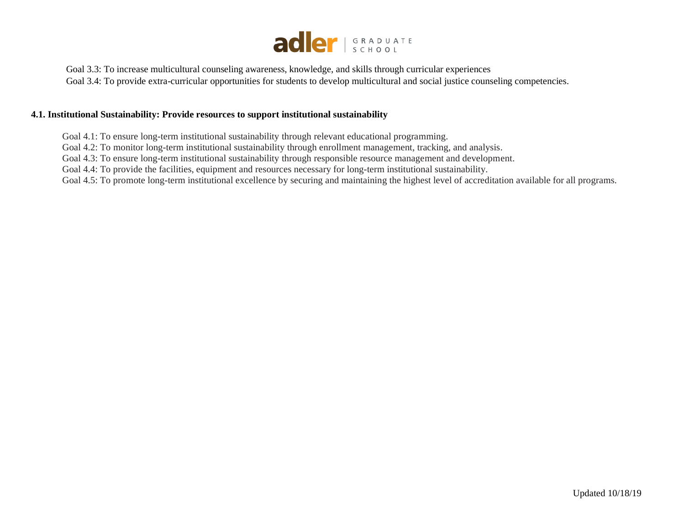

Goal 3.3: To increase multicultural counseling awareness, knowledge, and skills through curricular experiences Goal 3.4: To provide extra-curricular opportunities for students to develop multicultural and social justice counseling competencies.

#### **4.1. Institutional Sustainability: Provide resources to support institutional sustainability**

Goal 4.1: To ensure long-term institutional sustainability through relevant educational programming.

Goal 4.2: To monitor long-term institutional sustainability through enrollment management, tracking, and analysis.

Goal 4.3: To ensure long-term institutional sustainability through responsible resource management and development.

Goal 4.4: To provide the facilities, equipment and resources necessary for long-term institutional sustainability.

Goal 4.5: To promote long-term institutional excellence by securing and maintaining the highest level of accreditation available for all programs.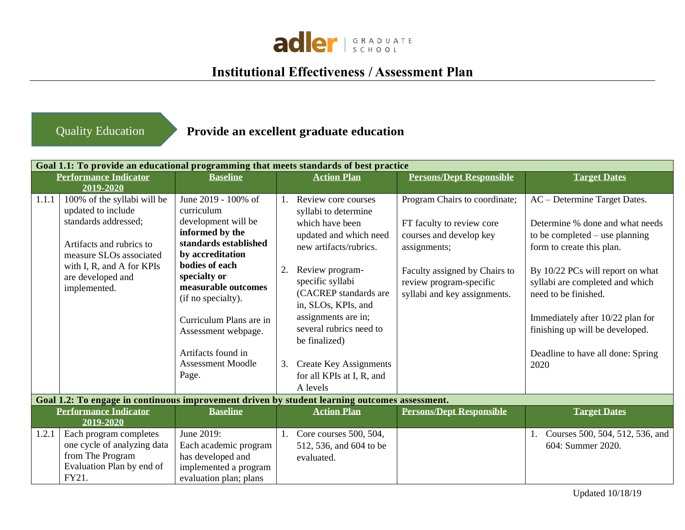

# **Institutional Effectiveness / Assessment Plan**

## <span id="page-3-0"></span>Quality Education

## **Provide an excellent graduate education**

|       | Goal 1.1: To provide an educational programming that meets standards of best practice         |                                    |    |                               |                                 |                                   |
|-------|-----------------------------------------------------------------------------------------------|------------------------------------|----|-------------------------------|---------------------------------|-----------------------------------|
|       | <b>Performance Indicator</b>                                                                  | <b>Baseline</b>                    |    | <b>Action Plan</b>            | <b>Persons/Dept Responsible</b> | <b>Target Dates</b>               |
|       | 2019-2020                                                                                     |                                    |    |                               |                                 |                                   |
| 1.1.1 | 100% of the syllabi will be                                                                   | June 2019 - 100% of                |    | Review core courses           | Program Chairs to coordinate;   | AC - Determine Target Dates.      |
|       | updated to include                                                                            | curriculum                         |    | syllabi to determine          |                                 |                                   |
|       | standards addressed;                                                                          | development will be                |    | which have been               | FT faculty to review core       | Determine % done and what needs   |
|       |                                                                                               | informed by the                    |    | updated and which need        | courses and develop key         | to be completed $-$ use planning  |
|       | Artifacts and rubrics to                                                                      | standards established              |    | new artifacts/rubrics.        | assignments;                    | form to create this plan.         |
|       | measure SLOs associated                                                                       | by accreditation<br>bodies of each |    |                               |                                 |                                   |
|       | with I, R, and A for KPIs<br>are developed and                                                | specialty or                       | 2. | Review program-               | Faculty assigned by Chairs to   | By 10/22 PCs will report on what  |
|       | implemented.                                                                                  | measurable outcomes                |    | specific syllabi              | review program-specific         | syllabi are completed and which   |
|       |                                                                                               | (if no specialty).                 |    | (CACREP standards are         | syllabi and key assignments.    | need to be finished.              |
|       |                                                                                               |                                    |    | in, SLOs, KPIs, and           |                                 |                                   |
|       |                                                                                               | Curriculum Plans are in            |    | assignments are in;           |                                 | Immediately after 10/22 plan for  |
|       |                                                                                               | Assessment webpage.                |    | several rubrics need to       |                                 | finishing up will be developed.   |
|       |                                                                                               |                                    |    | be finalized)                 |                                 |                                   |
|       |                                                                                               | Artifacts found in                 |    |                               |                                 | Deadline to have all done: Spring |
|       |                                                                                               | <b>Assessment Moodle</b>           | 3. | <b>Create Key Assignments</b> |                                 | 2020                              |
|       |                                                                                               | Page.                              |    | for all KPIs at I, R, and     |                                 |                                   |
|       |                                                                                               |                                    |    | A levels                      |                                 |                                   |
|       | Goal 1.2: To engage in continuous improvement driven by student learning outcomes assessment. |                                    |    |                               |                                 |                                   |
|       | <b>Performance Indicator</b>                                                                  | <b>Baseline</b>                    |    | <b>Action Plan</b>            | <b>Persons/Dept Responsible</b> | <b>Target Dates</b>               |
|       | 2019-2020                                                                                     |                                    |    |                               |                                 |                                   |
| 1.2.1 | Each program completes                                                                        | June 2019:                         | 1. | Core courses 500, 504,        |                                 | Courses 500, 504, 512, 536, and   |
|       | one cycle of analyzing data                                                                   | Each academic program              |    | 512, 536, and 604 to be       |                                 | 604: Summer 2020.                 |
|       | from The Program                                                                              | has developed and                  |    | evaluated.                    |                                 |                                   |
|       | Evaluation Plan by end of<br>FY21.                                                            | implemented a program              |    |                               |                                 |                                   |
|       |                                                                                               | evaluation plan; plans             |    |                               |                                 |                                   |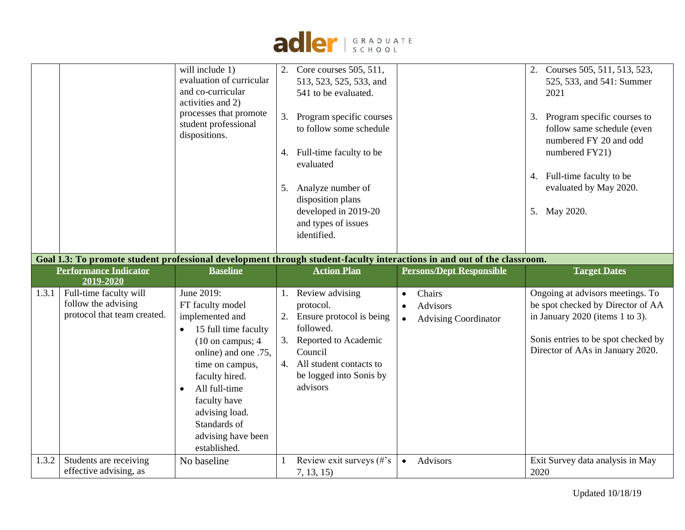

|       |                                                                                                                         | will include 1)<br>evaluation of curricular<br>and co-curricular<br>activities and 2)<br>processes that promote<br>student professional<br>dispositions. | 3.<br>5. | Core courses 505, 511,<br>513, 523, 525, 533, and<br>541 to be evaluated.<br>Program specific courses<br>to follow some schedule<br>4. Full-time faculty to be<br>evaluated<br>Analyze number of<br>disposition plans<br>developed in 2019-20<br>and types of issues<br>identified. |           |                                 | 3.   | Courses 505, 511, 513, 523,<br>525, 533, and 541: Summer<br>2021<br>Program specific courses to<br>follow same schedule (even<br>numbered FY 20 and odd<br>numbered FY21)<br>4. Full-time faculty to be<br>evaluated by May 2020.<br>5. May 2020. |
|-------|-------------------------------------------------------------------------------------------------------------------------|----------------------------------------------------------------------------------------------------------------------------------------------------------|----------|-------------------------------------------------------------------------------------------------------------------------------------------------------------------------------------------------------------------------------------------------------------------------------------|-----------|---------------------------------|------|---------------------------------------------------------------------------------------------------------------------------------------------------------------------------------------------------------------------------------------------------|
|       | Goal 1.3: To promote student professional development through student-faculty interactions in and out of the classroom. |                                                                                                                                                          |          |                                                                                                                                                                                                                                                                                     |           |                                 |      |                                                                                                                                                                                                                                                   |
|       | <b>Performance Indicator</b>                                                                                            | <b>Baseline</b>                                                                                                                                          |          | <b>Action Plan</b>                                                                                                                                                                                                                                                                  |           | <b>Persons/Dept Responsible</b> |      | <b>Target Dates</b>                                                                                                                                                                                                                               |
|       |                                                                                                                         |                                                                                                                                                          |          |                                                                                                                                                                                                                                                                                     |           |                                 |      |                                                                                                                                                                                                                                                   |
|       | 2019-2020                                                                                                               |                                                                                                                                                          |          |                                                                                                                                                                                                                                                                                     |           |                                 |      |                                                                                                                                                                                                                                                   |
| 1.3.1 | Full-time faculty will                                                                                                  | June 2019:                                                                                                                                               |          | Review advising                                                                                                                                                                                                                                                                     | $\bullet$ | Chairs                          |      | Ongoing at advisors meetings. To                                                                                                                                                                                                                  |
|       | follow the advising                                                                                                     | FT faculty model                                                                                                                                         |          | protocol.                                                                                                                                                                                                                                                                           | $\bullet$ | <b>Advisors</b>                 |      | be spot checked by Director of AA                                                                                                                                                                                                                 |
|       | protocol that team created.                                                                                             | implemented and                                                                                                                                          |          | Ensure protocol is being                                                                                                                                                                                                                                                            | $\bullet$ | <b>Advising Coordinator</b>     |      | in January 2020 (items 1 to 3).                                                                                                                                                                                                                   |
|       |                                                                                                                         | 15 full time faculty                                                                                                                                     |          | followed.                                                                                                                                                                                                                                                                           |           |                                 |      |                                                                                                                                                                                                                                                   |
|       |                                                                                                                         | $(10 \text{ on campus}; 4)$                                                                                                                              |          | 3. Reported to Academic                                                                                                                                                                                                                                                             |           |                                 |      | Sonis entries to be spot checked by<br>Director of AAs in January 2020.                                                                                                                                                                           |
|       |                                                                                                                         | online) and one .75,                                                                                                                                     |          | Council<br>4. All student contacts to                                                                                                                                                                                                                                               |           |                                 |      |                                                                                                                                                                                                                                                   |
|       |                                                                                                                         | time on campus,<br>faculty hired.                                                                                                                        |          | be logged into Sonis by                                                                                                                                                                                                                                                             |           |                                 |      |                                                                                                                                                                                                                                                   |
|       |                                                                                                                         | All full-time<br>$\bullet$                                                                                                                               |          | advisors                                                                                                                                                                                                                                                                            |           |                                 |      |                                                                                                                                                                                                                                                   |
|       |                                                                                                                         | faculty have                                                                                                                                             |          |                                                                                                                                                                                                                                                                                     |           |                                 |      |                                                                                                                                                                                                                                                   |
|       |                                                                                                                         | advising load.                                                                                                                                           |          |                                                                                                                                                                                                                                                                                     |           |                                 |      |                                                                                                                                                                                                                                                   |
|       |                                                                                                                         | Standards of                                                                                                                                             |          |                                                                                                                                                                                                                                                                                     |           |                                 |      |                                                                                                                                                                                                                                                   |
|       |                                                                                                                         | advising have been                                                                                                                                       |          |                                                                                                                                                                                                                                                                                     |           |                                 |      |                                                                                                                                                                                                                                                   |
|       |                                                                                                                         | established.                                                                                                                                             |          |                                                                                                                                                                                                                                                                                     |           |                                 |      |                                                                                                                                                                                                                                                   |
| 1.3.2 | Students are receiving<br>effective advising, as                                                                        | No baseline                                                                                                                                              |          | Review exit surveys $(\#s)$<br>7, 13, 15                                                                                                                                                                                                                                            | $\bullet$ | Advisors                        | 2020 | Exit Survey data analysis in May                                                                                                                                                                                                                  |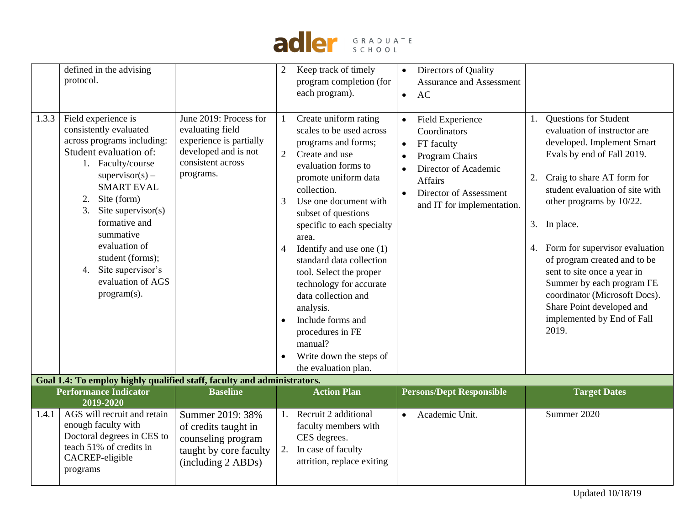

|       | defined in the advising<br>protocol.                                                                                                                                                                                                                                                                                                                       |                                                                                                                                 | $\overline{2}$                                     | Keep track of timely<br>program completion (for<br>each program).                                                                                                                                                                                                                                                                                                                                                                                                                                          | $\bullet$<br>$\bullet$ | Directors of Quality<br><b>Assurance and Assessment</b><br>AC                                                                                                      |                |                                                                                                                                                                                                                                                                                                                                                                                                                                                                   |
|-------|------------------------------------------------------------------------------------------------------------------------------------------------------------------------------------------------------------------------------------------------------------------------------------------------------------------------------------------------------------|---------------------------------------------------------------------------------------------------------------------------------|----------------------------------------------------|------------------------------------------------------------------------------------------------------------------------------------------------------------------------------------------------------------------------------------------------------------------------------------------------------------------------------------------------------------------------------------------------------------------------------------------------------------------------------------------------------------|------------------------|--------------------------------------------------------------------------------------------------------------------------------------------------------------------|----------------|-------------------------------------------------------------------------------------------------------------------------------------------------------------------------------------------------------------------------------------------------------------------------------------------------------------------------------------------------------------------------------------------------------------------------------------------------------------------|
| 1.3.3 | Field experience is<br>consistently evaluated<br>across programs including:<br>Student evaluation of:<br>1. Faculty/course<br>$supervisor(s)$ –<br><b>SMART EVAL</b><br>Site (form)<br>2.<br>Site supervisor $(s)$<br>3.<br>formative and<br>summative<br>evaluation of<br>student (forms);<br>Site supervisor's<br>4.<br>evaluation of AGS<br>program(s). | June 2019: Process for<br>evaluating field<br>experience is partially<br>developed and is not<br>consistent across<br>programs. | $\overline{2}$<br>3<br>$\overline{4}$<br>$\bullet$ | Create uniform rating<br>scales to be used across<br>programs and forms;<br>Create and use<br>evaluation forms to<br>promote uniform data<br>collection.<br>Use one document with<br>subset of questions<br>specific to each specialty<br>area.<br>Identify and use one $(1)$<br>standard data collection<br>tool. Select the proper<br>technology for accurate<br>data collection and<br>analysis.<br>Include forms and<br>procedures in FE<br>manual?<br>Write down the steps of<br>the evaluation plan. | $\bullet$<br>$\bullet$ | Field Experience<br>Coordinators<br>FT faculty<br>Program Chairs<br>Director of Academic<br><b>Affairs</b><br>Director of Assessment<br>and IT for implementation. | 1.<br>2.<br>4. | Questions for Student<br>evaluation of instructor are<br>developed. Implement Smart<br>Evals by end of Fall 2019.<br>Craig to share AT form for<br>student evaluation of site with<br>other programs by 10/22.<br>3. In place.<br>Form for supervisor evaluation<br>of program created and to be<br>sent to site once a year in<br>Summer by each program FE<br>coordinator (Microsoft Docs).<br>Share Point developed and<br>implemented by End of Fall<br>2019. |
|       | Goal 1.4: To employ highly qualified staff, faculty and administrators.                                                                                                                                                                                                                                                                                    |                                                                                                                                 |                                                    |                                                                                                                                                                                                                                                                                                                                                                                                                                                                                                            |                        |                                                                                                                                                                    |                |                                                                                                                                                                                                                                                                                                                                                                                                                                                                   |
|       | <b>Performance Indicator</b><br>2019-2020                                                                                                                                                                                                                                                                                                                  | <b>Baseline</b>                                                                                                                 |                                                    | <b>Action Plan</b>                                                                                                                                                                                                                                                                                                                                                                                                                                                                                         |                        | <b>Persons/Dept Responsible</b>                                                                                                                                    |                | <b>Target Dates</b>                                                                                                                                                                                                                                                                                                                                                                                                                                               |
| 1.4.1 | AGS will recruit and retain<br>enough faculty with<br>Doctoral degrees in CES to<br>teach 51% of credits in<br>CACREP-eligible<br>programs                                                                                                                                                                                                                 | Summer 2019: 38%<br>of credits taught in<br>counseling program<br>taught by core faculty<br>(including 2 ABDs)                  | 1.<br>2.                                           | Recruit 2 additional<br>faculty members with<br>CES degrees.<br>In case of faculty<br>attrition, replace exiting                                                                                                                                                                                                                                                                                                                                                                                           | $\bullet$              | Academic Unit.                                                                                                                                                     |                | Summer 2020                                                                                                                                                                                                                                                                                                                                                                                                                                                       |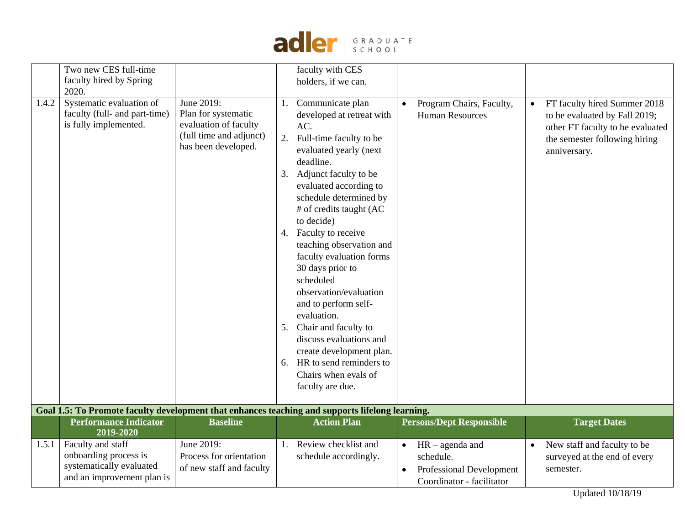

|       | Two new CES full-time<br>faculty hired by Spring<br>2020.                                            |                                                                                                              | faculty with CES<br>holders, if we can.                                                                                                                                                                                                                                                                                                                                                                                                                                                                                                                                                           |                                                                                                                   |                                                                                                                                                                 |
|-------|------------------------------------------------------------------------------------------------------|--------------------------------------------------------------------------------------------------------------|---------------------------------------------------------------------------------------------------------------------------------------------------------------------------------------------------------------------------------------------------------------------------------------------------------------------------------------------------------------------------------------------------------------------------------------------------------------------------------------------------------------------------------------------------------------------------------------------------|-------------------------------------------------------------------------------------------------------------------|-----------------------------------------------------------------------------------------------------------------------------------------------------------------|
| 1.4.2 | Systematic evaluation of<br>faculty (full- and part-time)<br>is fully implemented.                   | June 2019:<br>Plan for systematic<br>evaluation of faculty<br>(full time and adjunct)<br>has been developed. | Communicate plan<br>developed at retreat with<br>AC.<br>2. Full-time faculty to be<br>evaluated yearly (next<br>deadline.<br>3. Adjunct faculty to be<br>evaluated according to<br>schedule determined by<br># of credits taught (AC<br>to decide)<br>4. Faculty to receive<br>teaching observation and<br>faculty evaluation forms<br>30 days prior to<br>scheduled<br>observation/evaluation<br>and to perform self-<br>evaluation.<br>5. Chair and faculty to<br>discuss evaluations and<br>create development plan.<br>6. HR to send reminders to<br>Chairs when evals of<br>faculty are due. | Program Chairs, Faculty,<br>$\bullet$<br><b>Human Resources</b>                                                   | FT faculty hired Summer 2018<br>$\bullet$<br>to be evaluated by Fall 2019;<br>other FT faculty to be evaluated<br>the semester following hiring<br>anniversary. |
|       |                                                                                                      |                                                                                                              | Goal 1.5: To Promote faculty development that enhances teaching and supports lifelong learning.                                                                                                                                                                                                                                                                                                                                                                                                                                                                                                   |                                                                                                                   |                                                                                                                                                                 |
|       | <b>Performance Indicator</b><br>2019-2020                                                            | <b>Baseline</b>                                                                                              | <b>Action Plan</b>                                                                                                                                                                                                                                                                                                                                                                                                                                                                                                                                                                                | <b>Persons/Dept Responsible</b>                                                                                   | <b>Target Dates</b>                                                                                                                                             |
| 1.5.1 | Faculty and staff<br>onboarding process is<br>systematically evaluated<br>and an improvement plan is | June 2019:<br>Process for orientation<br>of new staff and faculty                                            | Review checklist and<br>1.<br>schedule accordingly.                                                                                                                                                                                                                                                                                                                                                                                                                                                                                                                                               | $HR - agenda$ and<br>$\bullet$<br>schedule.<br>Professional Development<br>$\bullet$<br>Coordinator - facilitator | New staff and faculty to be<br>$\bullet$<br>surveyed at the end of every<br>semester.                                                                           |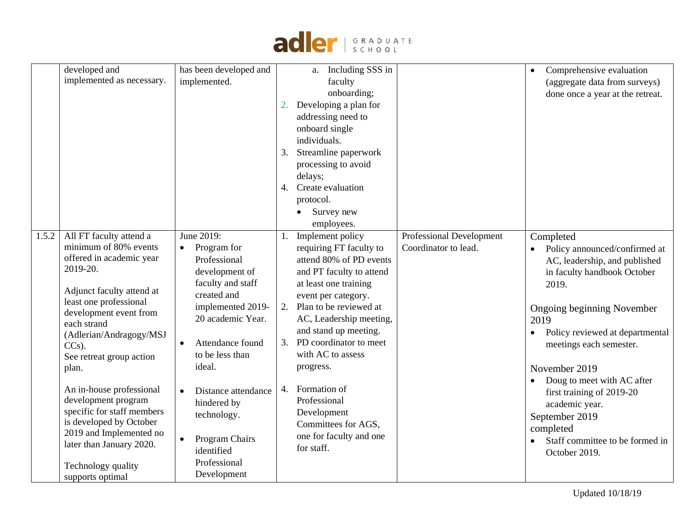

|       | developed and                         | has been developed and      |    | a. Including SSS in      |                          | Comprehensive evaluation<br>$\bullet$        |
|-------|---------------------------------------|-----------------------------|----|--------------------------|--------------------------|----------------------------------------------|
|       | implemented as necessary.             | implemented.                |    | faculty                  |                          | (aggregate data from surveys)                |
|       |                                       |                             |    | onboarding;              |                          | done once a year at the retreat.             |
|       |                                       |                             | 2. | Developing a plan for    |                          |                                              |
|       |                                       |                             |    | addressing need to       |                          |                                              |
|       |                                       |                             |    | onboard single           |                          |                                              |
|       |                                       |                             |    | individuals.             |                          |                                              |
|       |                                       |                             | 3. | Streamline paperwork     |                          |                                              |
|       |                                       |                             |    | processing to avoid      |                          |                                              |
|       |                                       |                             |    | delays;                  |                          |                                              |
|       |                                       |                             | 4. | Create evaluation        |                          |                                              |
|       |                                       |                             |    | protocol.                |                          |                                              |
|       |                                       |                             |    | Survey new<br>$\bullet$  |                          |                                              |
|       |                                       |                             |    | employees.               |                          |                                              |
| 1.5.2 | All FT faculty attend a               | June 2019:                  | 1. | Implement policy         | Professional Development | Completed                                    |
|       | minimum of 80% events                 | Program for                 |    | requiring FT faculty to  | Coordinator to lead.     | Policy announced/confirmed at                |
|       | offered in academic year              | Professional                |    | attend 80% of PD events  |                          | AC, leadership, and published                |
|       | 2019-20.                              | development of              |    | and PT faculty to attend |                          | in faculty handbook October                  |
|       |                                       | faculty and staff           |    | at least one training    |                          | 2019.                                        |
|       | Adjunct faculty attend at             | created and                 |    | event per category.      |                          |                                              |
|       | least one professional                | implemented 2019-           | 2. | Plan to be reviewed at   |                          | Ongoing beginning November                   |
|       | development event from<br>each strand | 20 academic Year.           |    | AC, Leadership meeting,  |                          | 2019                                         |
|       | (Adlerian/Andragogy/MSJ               |                             |    | and stand up meeting.    |                          | Policy reviewed at departmental<br>$\bullet$ |
|       | $CCs$ ).                              | Attendance found            | 3. | PD coordinator to meet   |                          | meetings each semester.                      |
|       | See retreat group action              | to be less than             |    | with AC to assess        |                          |                                              |
|       | plan.                                 | ideal.                      |    | progress.                |                          | November 2019                                |
|       |                                       |                             |    |                          |                          | Doug to meet with AC after<br>$\bullet$      |
|       | An in-house professional              | Distance attendance         | 4. | Formation of             |                          | first training of 2019-20                    |
|       | development program                   | hindered by                 |    | Professional             |                          | academic year.                               |
|       | specific for staff members            | technology.                 |    | Development              |                          | September 2019                               |
|       | is developed by October               |                             |    | Committees for AGS,      |                          | completed                                    |
|       | 2019 and Implemented no               | Program Chairs<br>$\bullet$ |    | one for faculty and one  |                          | Staff committee to be formed in              |
|       | later than January 2020.              | identified                  |    | for staff.               |                          | October 2019.                                |
|       | Technology quality                    | Professional                |    |                          |                          |                                              |
|       | supports optimal                      | Development                 |    |                          |                          |                                              |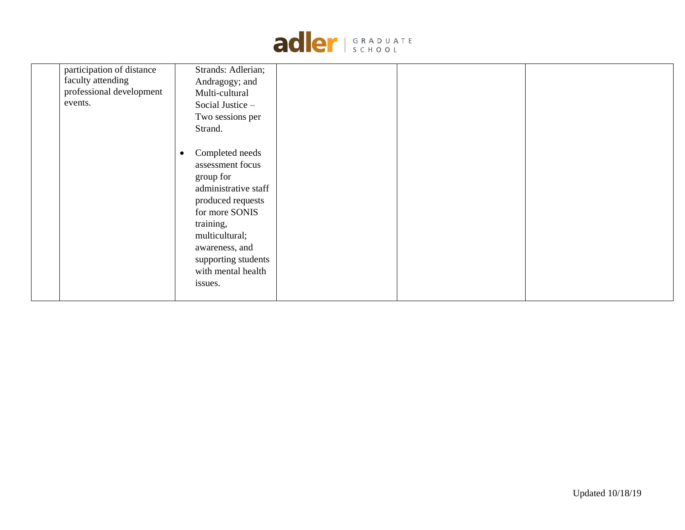

| participation of distance<br>faculty attending<br>professional development<br>events. | Strands: Adlerian;<br>Andragogy; and<br>Multi-cultural<br>Social Justice -<br>Two sessions per<br>Strand.                                                                                                                             |  |  |
|---------------------------------------------------------------------------------------|---------------------------------------------------------------------------------------------------------------------------------------------------------------------------------------------------------------------------------------|--|--|
|                                                                                       | Completed needs<br>$\bullet$<br>assessment focus<br>group for<br>administrative staff<br>produced requests<br>for more SONIS<br>training,<br>multicultural;<br>awareness, and<br>supporting students<br>with mental health<br>issues. |  |  |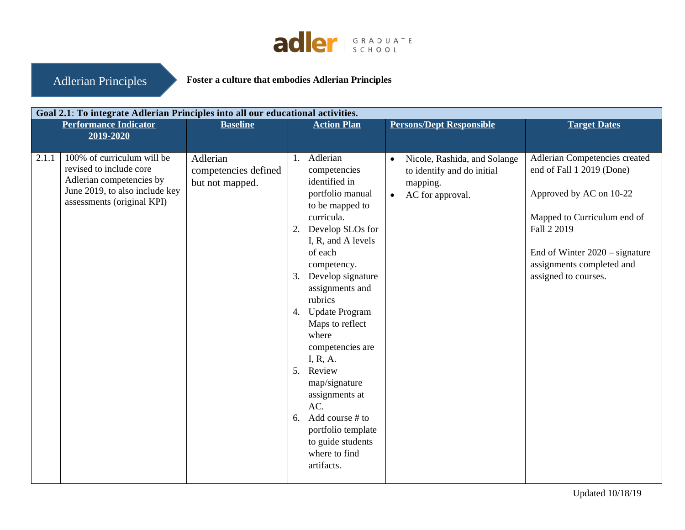

Adlerian Principles

**Foster a culture that embodies Adlerian Principles** 

|       | Goal 2.1: To integrate Adlerian Principles into all our educational activities.                                                                   |                                                     |          |                                                                                                                                                                                                                                                                                                                                                                                                                                                                    |                        |                                                                                            |                                                                                                                                                                                                                              |  |  |
|-------|---------------------------------------------------------------------------------------------------------------------------------------------------|-----------------------------------------------------|----------|--------------------------------------------------------------------------------------------------------------------------------------------------------------------------------------------------------------------------------------------------------------------------------------------------------------------------------------------------------------------------------------------------------------------------------------------------------------------|------------------------|--------------------------------------------------------------------------------------------|------------------------------------------------------------------------------------------------------------------------------------------------------------------------------------------------------------------------------|--|--|
|       | <b>Performance Indicator</b><br>2019-2020                                                                                                         | <b>Baseline</b>                                     |          | <b>Action Plan</b>                                                                                                                                                                                                                                                                                                                                                                                                                                                 |                        | <b>Persons/Dept Responsible</b>                                                            | <b>Target Dates</b>                                                                                                                                                                                                          |  |  |
| 2.1.1 | 100% of curriculum will be<br>revised to include core<br>Adlerian competencies by<br>June 2019, to also include key<br>assessments (original KPI) | Adlerian<br>competencies defined<br>but not mapped. | 1.<br>2. | Adlerian<br>competencies<br>identified in<br>portfolio manual<br>to be mapped to<br>curricula.<br>Develop SLOs for<br>I, R, and A levels<br>of each<br>competency.<br>3. Develop signature<br>assignments and<br>rubrics<br>4. Update Program<br>Maps to reflect<br>where<br>competencies are<br>I, R, A.<br>5. Review<br>map/signature<br>assignments at<br>AC.<br>6. Add course $#$ to<br>portfolio template<br>to guide students<br>where to find<br>artifacts. | $\bullet$<br>$\bullet$ | Nicole, Rashida, and Solange<br>to identify and do initial<br>mapping.<br>AC for approval. | Adlerian Competencies created<br>end of Fall 1 2019 (Done)<br>Approved by AC on 10-22<br>Mapped to Curriculum end of<br>Fall 2 2019<br>End of Winter $2020 -$ signature<br>assignments completed and<br>assigned to courses. |  |  |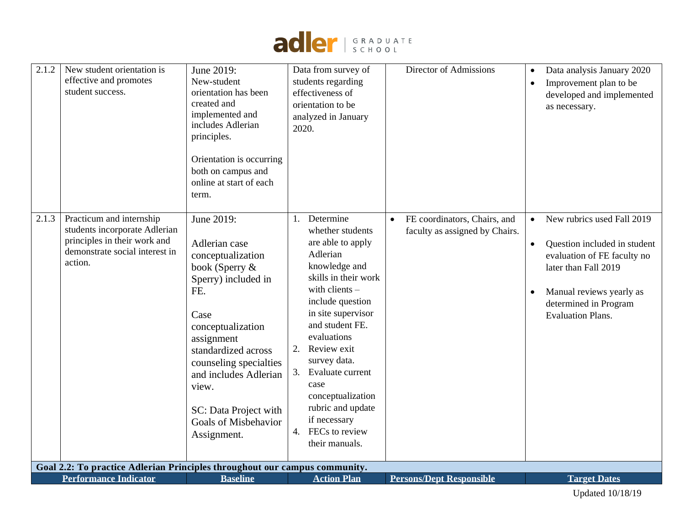

| 2.1.2 | New student orientation is<br>effective and promotes<br>student success.                                                               | June 2019:<br>New-student<br>orientation has been<br>created and<br>implemented and<br>includes Adlerian<br>principles.<br>Orientation is occurring<br>both on campus and<br>online at start of each<br>term.                                                                                  | Data from survey of<br>students regarding<br>effectiveness of<br>orientation to be<br>analyzed in January<br>2020.                                                                                                                                                                                                                                                               | Director of Admissions                                         | Data analysis January 2020<br>Improvement plan to be<br>developed and implemented<br>as necessary.                                                                                                 |
|-------|----------------------------------------------------------------------------------------------------------------------------------------|------------------------------------------------------------------------------------------------------------------------------------------------------------------------------------------------------------------------------------------------------------------------------------------------|----------------------------------------------------------------------------------------------------------------------------------------------------------------------------------------------------------------------------------------------------------------------------------------------------------------------------------------------------------------------------------|----------------------------------------------------------------|----------------------------------------------------------------------------------------------------------------------------------------------------------------------------------------------------|
| 2.1.3 | Practicum and internship<br>students incorporate Adlerian<br>principles in their work and<br>demonstrate social interest in<br>action. | June 2019:<br>Adlerian case<br>conceptualization<br>book (Sperry &<br>Sperry) included in<br>FE.<br>Case<br>conceptualization<br>assignment<br>standardized across<br>counseling specialties<br>and includes Adlerian<br>view.<br>SC: Data Project with<br>Goals of Misbehavior<br>Assignment. | Determine<br>whether students<br>are able to apply<br>Adlerian<br>knowledge and<br>skills in their work<br>with clients -<br>include question<br>in site supervisor<br>and student FE.<br>evaluations<br>Review exit<br>2.<br>survey data.<br>Evaluate current<br>3.<br>case<br>conceptualization<br>rubric and update<br>if necessary<br>FECs to review<br>4.<br>their manuals. | FE coordinators, Chairs, and<br>faculty as assigned by Chairs. | New rubrics used Fall 2019<br>Question included in student<br>evaluation of FE faculty no<br>later than Fall 2019<br>Manual reviews yearly as<br>determined in Program<br><b>Evaluation Plans.</b> |
|       | Goal 2.2: To practice Adlerian Principles throughout our campus community.                                                             |                                                                                                                                                                                                                                                                                                |                                                                                                                                                                                                                                                                                                                                                                                  |                                                                |                                                                                                                                                                                                    |
|       | <b>Performance Indicator</b>                                                                                                           | <b>Baseline</b>                                                                                                                                                                                                                                                                                | <b>Action Plan</b>                                                                                                                                                                                                                                                                                                                                                               | <b>Persons/Dept Responsible</b>                                | <b>Target Dates</b>                                                                                                                                                                                |
|       |                                                                                                                                        |                                                                                                                                                                                                                                                                                                |                                                                                                                                                                                                                                                                                                                                                                                  |                                                                | <b>Updated 10/18/19</b>                                                                                                                                                                            |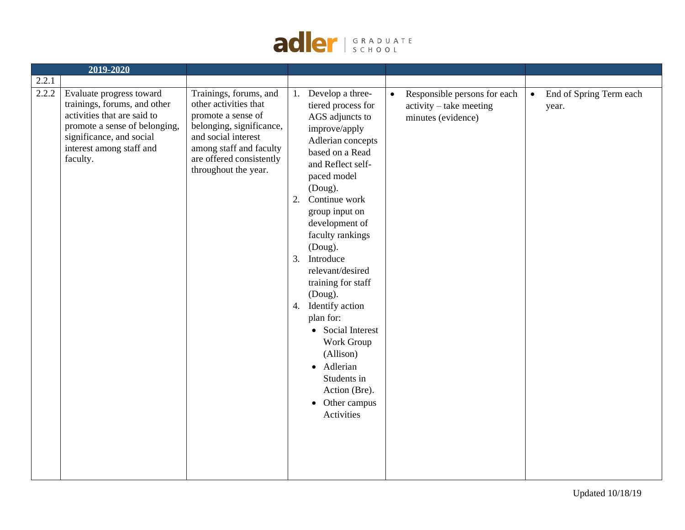

|       | 2019-2020                                                                                                                                                                                    |                                                                                                                                                                                                         |                |                                                                                                                                                                                                                                                                                                                                                                                                                                                                                          |           |                                                                                 |           |                                  |
|-------|----------------------------------------------------------------------------------------------------------------------------------------------------------------------------------------------|---------------------------------------------------------------------------------------------------------------------------------------------------------------------------------------------------------|----------------|------------------------------------------------------------------------------------------------------------------------------------------------------------------------------------------------------------------------------------------------------------------------------------------------------------------------------------------------------------------------------------------------------------------------------------------------------------------------------------------|-----------|---------------------------------------------------------------------------------|-----------|----------------------------------|
| 2.2.1 |                                                                                                                                                                                              |                                                                                                                                                                                                         |                |                                                                                                                                                                                                                                                                                                                                                                                                                                                                                          |           |                                                                                 |           |                                  |
| 2.2.2 | Evaluate progress toward<br>trainings, forums, and other<br>activities that are said to<br>promote a sense of belonging,<br>significance, and social<br>interest among staff and<br>faculty. | Trainings, forums, and<br>other activities that<br>promote a sense of<br>belonging, significance,<br>and social interest<br>among staff and faculty<br>are offered consistently<br>throughout the year. | 1.<br>2.<br>3. | Develop a three-<br>tiered process for<br>AGS adjuncts to<br>improve/apply<br>Adlerian concepts<br>based on a Read<br>and Reflect self-<br>paced model<br>(Doug).<br>Continue work<br>group input on<br>development of<br>faculty rankings<br>(Doug).<br>Introduce<br>relevant/desired<br>training for staff<br>(Doug).<br>4. Identify action<br>plan for:<br>• Social Interest<br>Work Group<br>(Allison)<br>· Adlerian<br>Students in<br>Action (Bre).<br>• Other campus<br>Activities | $\bullet$ | Responsible persons for each<br>$activity - take meeting$<br>minutes (evidence) | $\bullet$ | End of Spring Term each<br>year. |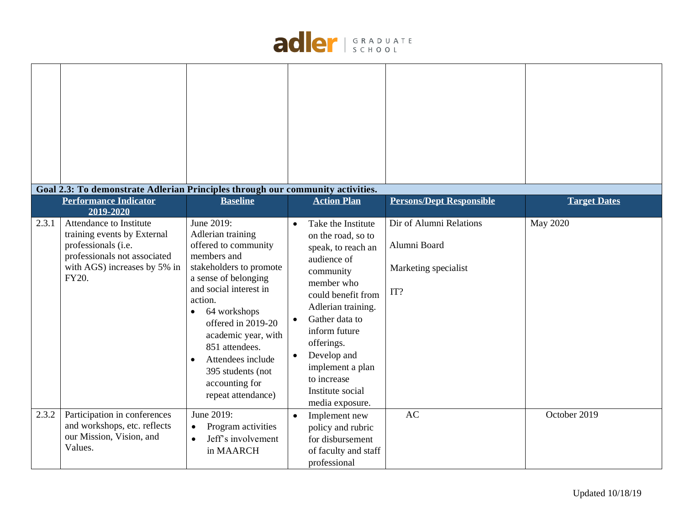

|       | Goal 2.3: To demonstrate Adlerian Principles through our community activities.                                                                                                                      |                                                                                                                                                                                                                                                                                                                                                                 |           |                                                                                                                                                                                                                                                                                                                      |                                                                                                           |                                 |
|-------|-----------------------------------------------------------------------------------------------------------------------------------------------------------------------------------------------------|-----------------------------------------------------------------------------------------------------------------------------------------------------------------------------------------------------------------------------------------------------------------------------------------------------------------------------------------------------------------|-----------|----------------------------------------------------------------------------------------------------------------------------------------------------------------------------------------------------------------------------------------------------------------------------------------------------------------------|-----------------------------------------------------------------------------------------------------------|---------------------------------|
| 2.3.1 | <b>Performance Indicator</b><br>2019-2020<br>Attendance to Institute<br>training events by External<br>professionals (i.e.<br>professionals not associated<br>with AGS) increases by 5% in<br>FY20. | <b>Baseline</b><br>June 2019:<br>Adlerian training<br>offered to community<br>members and<br>stakeholders to promote<br>a sense of belonging<br>and social interest in<br>action.<br>64 workshops<br>$\bullet$<br>offered in 2019-20<br>academic year, with<br>851 attendees.<br>Attendees include<br>395 students (not<br>accounting for<br>repeat attendance) |           | <b>Action Plan</b><br>Take the Institute<br>on the road, so to<br>speak, to reach an<br>audience of<br>community<br>member who<br>could benefit from<br>Adlerian training.<br>Gather data to<br>inform future<br>offerings.<br>Develop and<br>implement a plan<br>to increase<br>Institute social<br>media exposure. | <b>Persons/Dept Responsible</b><br>Dir of Alumni Relations<br>Alumni Board<br>Marketing specialist<br>IT? | <b>Target Dates</b><br>May 2020 |
| 2.3.2 | Participation in conferences<br>and workshops, etc. reflects<br>our Mission, Vision, and<br>Values.                                                                                                 | June 2019:<br>Program activities<br>$\bullet$<br>Jeff's involvement<br>in MAARCH                                                                                                                                                                                                                                                                                | $\bullet$ | Implement new<br>policy and rubric<br>for disbursement<br>of faculty and staff<br>professional                                                                                                                                                                                                                       | <b>AC</b>                                                                                                 | October 2019                    |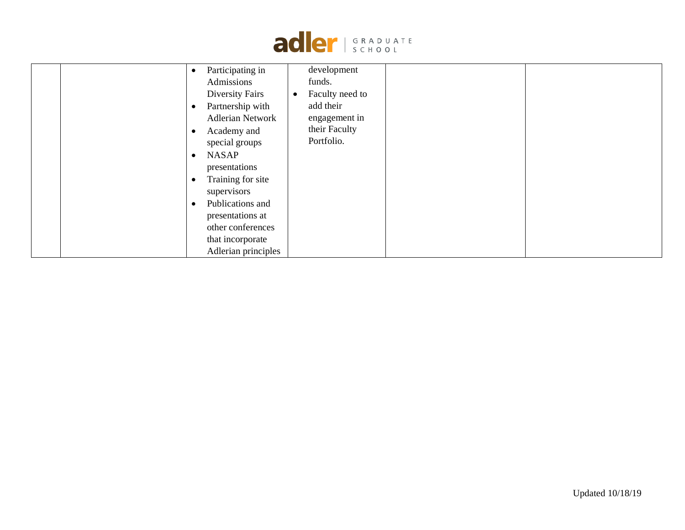

| $\bullet$<br>$\bullet$<br>$\bullet$<br>$\bullet$<br>$\bullet$<br>$\bullet$ | Participating in<br>Admissions<br><b>Diversity Fairs</b><br>Partnership with<br><b>Adlerian Network</b><br>Academy and<br>special groups<br><b>NASAP</b><br>presentations<br>Training for site<br>supervisors<br>Publications and | development<br>funds.<br>Faculty need to<br>$\bullet$<br>add their<br>engagement in<br>their Faculty<br>Portfolio. |  |
|----------------------------------------------------------------------------|-----------------------------------------------------------------------------------------------------------------------------------------------------------------------------------------------------------------------------------|--------------------------------------------------------------------------------------------------------------------|--|
|                                                                            |                                                                                                                                                                                                                                   |                                                                                                                    |  |
|                                                                            | presentations at                                                                                                                                                                                                                  |                                                                                                                    |  |
|                                                                            | other conferences                                                                                                                                                                                                                 |                                                                                                                    |  |
|                                                                            | that incorporate                                                                                                                                                                                                                  |                                                                                                                    |  |
|                                                                            | Adlerian principles                                                                                                                                                                                                               |                                                                                                                    |  |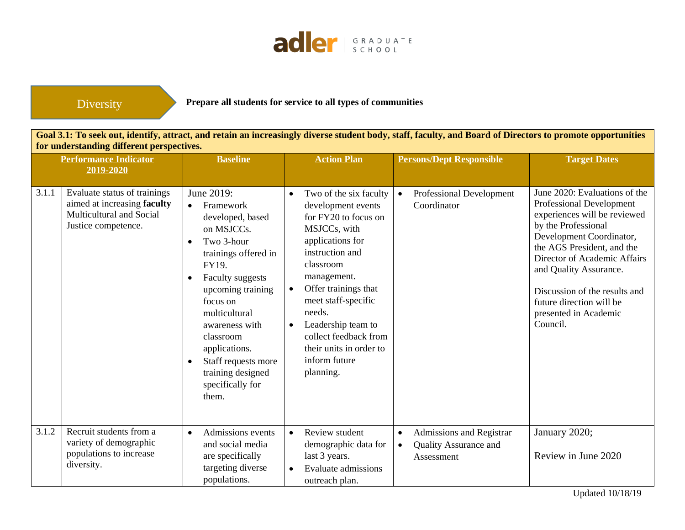

Diversity

**Prepare all students for service to all types of communities**

**Goal 3.1: To seek out, identify, attract, and retain an increasingly diverse student body, staff, faculty, and Board of Directors to promote opportunities for understanding different perspectives.**

|       | <b>Performance Indicator</b><br>2019-2020                                                                      | <b>Baseline</b>                                                                                                                                                                                                                                                                                                | <b>Action Plan</b>                                                                                                                                                                                                                                                                                                                                              | <b>Persons/Dept Responsible</b>                                                                  | <b>Target Dates</b>                                                                                                                                                                                                                                                                                                                    |
|-------|----------------------------------------------------------------------------------------------------------------|----------------------------------------------------------------------------------------------------------------------------------------------------------------------------------------------------------------------------------------------------------------------------------------------------------------|-----------------------------------------------------------------------------------------------------------------------------------------------------------------------------------------------------------------------------------------------------------------------------------------------------------------------------------------------------------------|--------------------------------------------------------------------------------------------------|----------------------------------------------------------------------------------------------------------------------------------------------------------------------------------------------------------------------------------------------------------------------------------------------------------------------------------------|
| 3.1.1 | Evaluate status of trainings<br>aimed at increasing faculty<br>Multicultural and Social<br>Justice competence. | June 2019:<br>Framework<br>developed, based<br>on MSJCCs.<br>Two 3-hour<br>trainings offered in<br>FY19.<br><b>Faculty suggests</b><br>upcoming training<br>focus on<br>multicultural<br>awareness with<br>classroom<br>applications.<br>Staff requests more<br>training designed<br>specifically for<br>them. | Two of the six faculty<br>$\bullet$<br>development events<br>for FY20 to focus on<br>MSJCCs, with<br>applications for<br>instruction and<br>classroom<br>management.<br>Offer trainings that<br>$\bullet$<br>meet staff-specific<br>needs.<br>Leadership team to<br>$\bullet$<br>collect feedback from<br>their units in order to<br>inform future<br>planning. | Professional Development<br>$\bullet$<br>Coordinator                                             | June 2020: Evaluations of the<br>Professional Development<br>experiences will be reviewed<br>by the Professional<br>Development Coordinator,<br>the AGS President, and the<br>Director of Academic Affairs<br>and Quality Assurance.<br>Discussion of the results and<br>future direction will be<br>presented in Academic<br>Council. |
| 3.1.2 | Recruit students from a<br>variety of demographic<br>populations to increase<br>diversity.                     | Admissions events<br>$\bullet$<br>and social media<br>are specifically<br>targeting diverse<br>populations.                                                                                                                                                                                                    | Review student<br>$\bullet$<br>demographic data for<br>last 3 years.<br><b>Evaluate admissions</b><br>outreach plan.                                                                                                                                                                                                                                            | Admissions and Registrar<br>$\bullet$<br><b>Quality Assurance and</b><br>$\bullet$<br>Assessment | January 2020;<br>Review in June 2020                                                                                                                                                                                                                                                                                                   |

Updated 10/18/19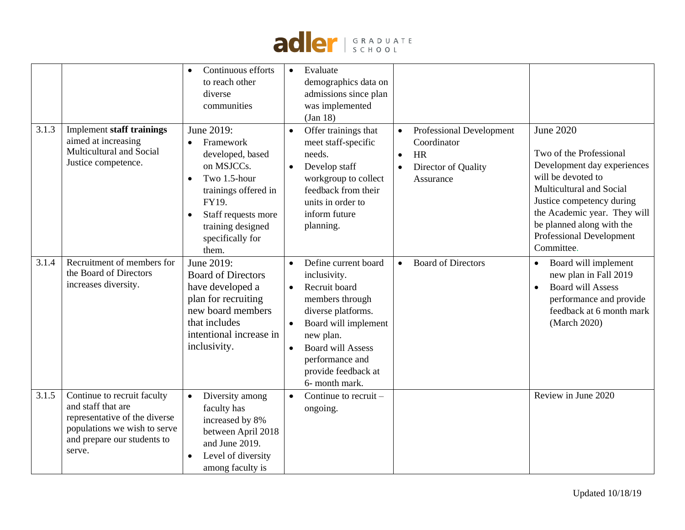

|       |                                                                                                                                                             | Continuous efforts<br>to reach other<br>diverse<br>communities                                                                                                                                   | Evaluate<br>$\bullet$<br>demographics data on<br>admissions since plan<br>was implemented<br>(Jan 18)                                                                                                                                                                                                                    |                                                                                                                                                                                                                                                                         |
|-------|-------------------------------------------------------------------------------------------------------------------------------------------------------------|--------------------------------------------------------------------------------------------------------------------------------------------------------------------------------------------------|--------------------------------------------------------------------------------------------------------------------------------------------------------------------------------------------------------------------------------------------------------------------------------------------------------------------------|-------------------------------------------------------------------------------------------------------------------------------------------------------------------------------------------------------------------------------------------------------------------------|
| 3.1.3 | <b>Implement staff trainings</b><br>aimed at increasing<br>Multicultural and Social<br>Justice competence.                                                  | June 2019:<br>Framework<br>$\bullet$<br>developed, based<br>on MSJCCs.<br>Two 1.5-hour<br>trainings offered in<br>FY19.<br>Staff requests more<br>training designed<br>specifically for<br>them. | Offer trainings that<br>Professional Development<br>$\bullet$<br>meet staff-specific<br>Coordinator<br>needs.<br><b>HR</b><br>$\bullet$<br>Develop staff<br>Director of Quality<br>$\bullet$<br>$\bullet$<br>workgroup to collect<br>Assurance<br>feedback from their<br>units in order to<br>inform future<br>planning. | <b>June 2020</b><br>Two of the Professional<br>Development day experiences<br>will be devoted to<br>Multicultural and Social<br>Justice competency during<br>the Academic year. They will<br>be planned along with the<br><b>Professional Development</b><br>Committee. |
| 3.1.4 | Recruitment of members for<br>the Board of Directors<br>increases diversity.                                                                                | June 2019:<br><b>Board of Directors</b><br>have developed a<br>plan for recruiting<br>new board members<br>that includes<br>intentional increase in<br>inclusivity.                              | Define current board<br><b>Board of Directors</b><br>$\bullet$<br>$\bullet$<br>inclusivity.<br>Recruit board<br>$\bullet$<br>members through<br>diverse platforms.<br>Board will implement<br>$\bullet$<br>new plan.<br><b>Board will Assess</b><br>performance and<br>provide feedback at<br>6- month mark.             | Board will implement<br>$\bullet$<br>new plan in Fall 2019<br><b>Board will Assess</b><br>$\bullet$<br>performance and provide<br>feedback at 6 month mark<br>(March 2020)                                                                                              |
| 3.1.5 | Continue to recruit faculty<br>and staff that are<br>representative of the diverse<br>populations we wish to serve<br>and prepare our students to<br>serve. | Diversity among<br>$\bullet$<br>faculty has<br>increased by 8%<br>between April 2018<br>and June 2019.<br>Level of diversity<br>among faculty is                                                 | Continue to recruit –<br>ongoing.                                                                                                                                                                                                                                                                                        | Review in June 2020                                                                                                                                                                                                                                                     |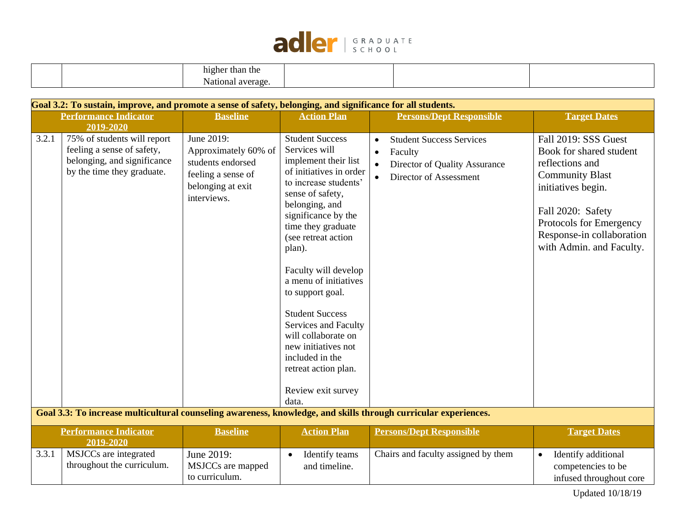

|  | $\bullet$<br>higher<br>than the<br>.      |  |  |
|--|-------------------------------------------|--|--|
|  | $\mathbf{v}$<br>tion<br>-906<br>ם ב<br>эα |  |  |

|       | Goal 3.2: To sustain, improve, and promote a sense of safety, belonging, and significance for all students.            |                                                                                                                   |                                                                                                                                                                                                                                                                                                                                                                                                                                                                                        |                                                                                                                                              |                                                                                                                                                                                                                             |
|-------|------------------------------------------------------------------------------------------------------------------------|-------------------------------------------------------------------------------------------------------------------|----------------------------------------------------------------------------------------------------------------------------------------------------------------------------------------------------------------------------------------------------------------------------------------------------------------------------------------------------------------------------------------------------------------------------------------------------------------------------------------|----------------------------------------------------------------------------------------------------------------------------------------------|-----------------------------------------------------------------------------------------------------------------------------------------------------------------------------------------------------------------------------|
|       | <b>Performance Indicator</b><br>2019-2020                                                                              | <b>Baseline</b>                                                                                                   | <b>Action Plan</b>                                                                                                                                                                                                                                                                                                                                                                                                                                                                     | <b>Persons/Dept Responsible</b>                                                                                                              | <b>Target Dates</b>                                                                                                                                                                                                         |
| 3.2.1 | 75% of students will report<br>feeling a sense of safety,<br>belonging, and significance<br>by the time they graduate. | June 2019:<br>Approximately 60% of<br>students endorsed<br>feeling a sense of<br>belonging at exit<br>interviews. | <b>Student Success</b><br>Services will<br>implement their list<br>of initiatives in order<br>to increase students'<br>sense of safety,<br>belonging, and<br>significance by the<br>time they graduate<br>(see retreat action<br>plan).<br>Faculty will develop<br>a menu of initiatives<br>to support goal.<br><b>Student Success</b><br>Services and Faculty<br>will collaborate on<br>new initiatives not<br>included in the<br>retreat action plan.<br>Review exit survey<br>data. | <b>Student Success Services</b><br>Faculty<br>$\bullet$<br>Director of Quality Assurance<br>$\bullet$<br>Director of Assessment<br>$\bullet$ | Fall 2019: SSS Guest<br>Book for shared student<br>reflections and<br><b>Community Blast</b><br>initiatives begin.<br>Fall 2020: Safety<br>Protocols for Emergency<br>Response-in collaboration<br>with Admin. and Faculty. |
|       |                                                                                                                        |                                                                                                                   |                                                                                                                                                                                                                                                                                                                                                                                                                                                                                        | Goal 3.3: To increase multicultural counseling awareness, knowledge, and skills through curricular experiences.                              |                                                                                                                                                                                                                             |
|       | <b>Performance Indicator</b><br>2019-2020                                                                              | <b>Baseline</b>                                                                                                   | <b>Action Plan</b>                                                                                                                                                                                                                                                                                                                                                                                                                                                                     | <b>Persons/Dept Responsible</b>                                                                                                              | <b>Target Dates</b>                                                                                                                                                                                                         |
| 3.3.1 | MSJCCs are integrated<br>throughout the curriculum.                                                                    | June 2019:<br>MSJCCs are mapped<br>to curriculum.                                                                 | Identify teams<br>$\bullet$<br>and timeline.                                                                                                                                                                                                                                                                                                                                                                                                                                           | Chairs and faculty assigned by them                                                                                                          | Identify additional<br>competencies to be<br>infused throughout core                                                                                                                                                        |

Updated 10/18/19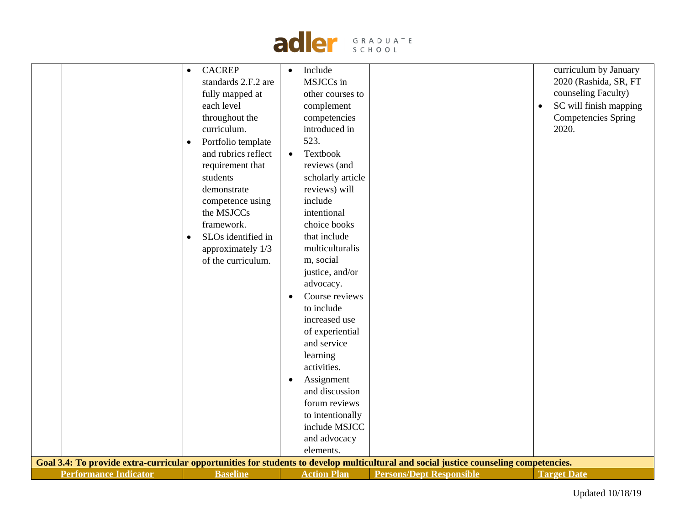

|  | Goal 3.4: To provide extra-curricular opportunities for students to develop multicultural and social justice counseling competencies.<br><b>Performance Indicator</b><br><b>Baseline</b><br><b>Action Plan</b><br><b>Persons/Dept Responsible</b><br><b>Target Date</b> | to include<br>increased use<br>of experiential<br>and service<br>learning<br>activities.<br>Assignment<br>$\bullet$<br>and discussion<br>forum reviews<br>to intentionally<br>include MSJCC<br>and advocacy<br>elements. | curriculum by January<br><b>CACREP</b><br>Include<br>$\bullet$<br>$\bullet$<br>2020 (Rashida, SR, FT<br>MSJCCs in<br>standards 2.F.2 are<br>counseling Faculty)<br>fully mapped at<br>other courses to<br>SC will finish mapping<br>each level<br>complement<br>$\bullet$<br>throughout the<br><b>Competencies Spring</b><br>competencies<br>curriculum.<br>introduced in<br>2020.<br>523.<br>Portfolio template<br>$\bullet$<br>and rubrics reflect<br>Textbook<br>$\bullet$<br>requirement that<br>reviews (and<br>students<br>scholarly article<br>reviews) will<br>demonstrate<br>include<br>competence using<br>the MSJCCs<br>intentional<br>framework.<br>choice books<br>that include<br>SLOs identified in<br>$\bullet$<br>multiculturalis<br>approximately 1/3<br>m, social<br>of the curriculum.<br>justice, and/or<br>advocacy.<br>Course reviews |
|--|-------------------------------------------------------------------------------------------------------------------------------------------------------------------------------------------------------------------------------------------------------------------------|--------------------------------------------------------------------------------------------------------------------------------------------------------------------------------------------------------------------------|--------------------------------------------------------------------------------------------------------------------------------------------------------------------------------------------------------------------------------------------------------------------------------------------------------------------------------------------------------------------------------------------------------------------------------------------------------------------------------------------------------------------------------------------------------------------------------------------------------------------------------------------------------------------------------------------------------------------------------------------------------------------------------------------------------------------------------------------------------------|
|--|-------------------------------------------------------------------------------------------------------------------------------------------------------------------------------------------------------------------------------------------------------------------------|--------------------------------------------------------------------------------------------------------------------------------------------------------------------------------------------------------------------------|--------------------------------------------------------------------------------------------------------------------------------------------------------------------------------------------------------------------------------------------------------------------------------------------------------------------------------------------------------------------------------------------------------------------------------------------------------------------------------------------------------------------------------------------------------------------------------------------------------------------------------------------------------------------------------------------------------------------------------------------------------------------------------------------------------------------------------------------------------------|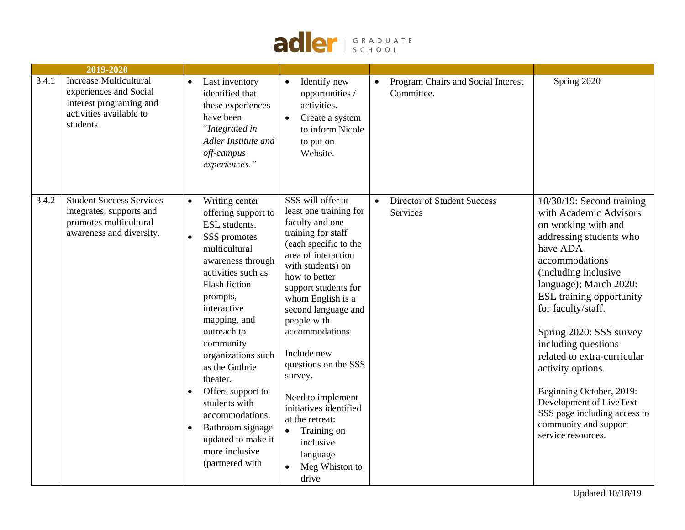

|       | 2019-2020                                                                                                                  |                                                                                                                                                                                                                                                                                                                                                                                                                                                                            |                                                                                                                                                                                                                                                                                                                                                                                                                                                                                                  |                                                  |                                                                                                                                                                                                                                                                                                                                                                                                                                                                                                |
|-------|----------------------------------------------------------------------------------------------------------------------------|----------------------------------------------------------------------------------------------------------------------------------------------------------------------------------------------------------------------------------------------------------------------------------------------------------------------------------------------------------------------------------------------------------------------------------------------------------------------------|--------------------------------------------------------------------------------------------------------------------------------------------------------------------------------------------------------------------------------------------------------------------------------------------------------------------------------------------------------------------------------------------------------------------------------------------------------------------------------------------------|--------------------------------------------------|------------------------------------------------------------------------------------------------------------------------------------------------------------------------------------------------------------------------------------------------------------------------------------------------------------------------------------------------------------------------------------------------------------------------------------------------------------------------------------------------|
| 3.4.1 | <b>Increase Multicultural</b><br>experiences and Social<br>Interest programing and<br>activities available to<br>students. | Last inventory<br>$\bullet$<br>identified that<br>these experiences<br>have been<br>"Integrated in<br>Adler Institute and<br>off-campus<br>experiences."                                                                                                                                                                                                                                                                                                                   | Identify new<br>$\bullet$<br>opportunities /<br>activities.<br>Create a system<br>$\bullet$<br>to inform Nicole<br>to put on<br>Website.                                                                                                                                                                                                                                                                                                                                                         | Program Chairs and Social Interest<br>Committee. | Spring 2020                                                                                                                                                                                                                                                                                                                                                                                                                                                                                    |
| 3.4.2 | <b>Student Success Services</b><br>integrates, supports and<br>promotes multicultural<br>awareness and diversity.          | Writing center<br>$\bullet$<br>offering support to<br>ESL students.<br>SSS promotes<br>$\bullet$<br>multicultural<br>awareness through<br>activities such as<br>Flash fiction<br>prompts,<br>interactive<br>mapping, and<br>outreach to<br>community<br>organizations such<br>as the Guthrie<br>theater.<br>Offers support to<br>$\bullet$<br>students with<br>accommodations.<br>Bathroom signage<br>$\bullet$<br>updated to make it<br>more inclusive<br>(partnered with | SSS will offer at<br>least one training for<br>faculty and one<br>training for staff<br>(each specific to the<br>area of interaction<br>with students) on<br>how to better<br>support students for<br>whom English is a<br>second language and<br>people with<br>accommodations<br>Include new<br>questions on the SSS<br>survey.<br>Need to implement<br>initiatives identified<br>at the retreat:<br>Training on<br>$\bullet$<br>inclusive<br>language<br>Meg Whiston to<br>$\bullet$<br>drive | Director of Student Success<br>Services          | $10/30/19$ : Second training<br>with Academic Advisors<br>on working with and<br>addressing students who<br>have ADA<br>accommodations<br>(including inclusive)<br>language); March 2020:<br><b>ESL</b> training opportunity<br>for faculty/staff.<br>Spring 2020: SSS survey<br>including questions<br>related to extra-curricular<br>activity options.<br>Beginning October, 2019:<br>Development of LiveText<br>SSS page including access to<br>community and support<br>service resources. |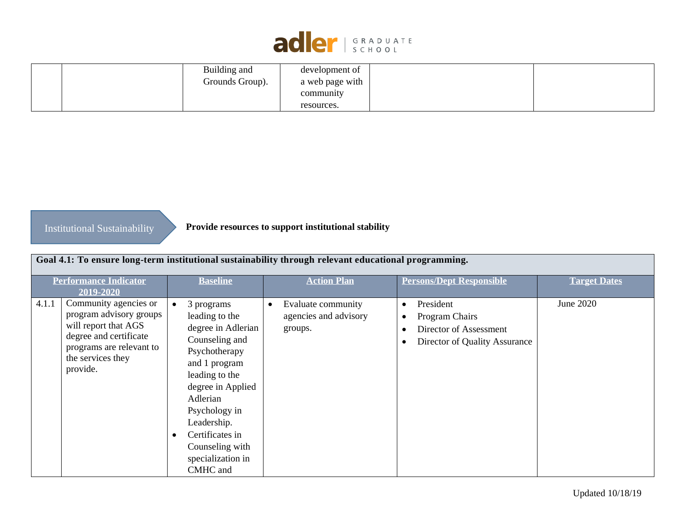

|  | Building and    | development of  |  |
|--|-----------------|-----------------|--|
|  | Grounds Group). | a web page with |  |
|  |                 | community       |  |
|  |                 | resources.      |  |

# Institutional Sustainability

**Provide resources to support institutional stability**

|       |                                                                                                                                                                 |                                                                                                                                                                                                                                                                               | Goal 4.1: To ensure long-term institutional sustainability through relevant educational programming. |                                                                                                                               |                     |
|-------|-----------------------------------------------------------------------------------------------------------------------------------------------------------------|-------------------------------------------------------------------------------------------------------------------------------------------------------------------------------------------------------------------------------------------------------------------------------|------------------------------------------------------------------------------------------------------|-------------------------------------------------------------------------------------------------------------------------------|---------------------|
|       | <b>Performance Indicator</b><br>2019-2020                                                                                                                       | <b>Baseline</b>                                                                                                                                                                                                                                                               | <b>Action Plan</b>                                                                                   | <b>Persons/Dept Responsible</b>                                                                                               | <b>Target Dates</b> |
| 4.1.1 | Community agencies or<br>program advisory groups<br>will report that AGS<br>degree and certificate<br>programs are relevant to<br>the services they<br>provide. | 3 programs<br>$\bullet$<br>leading to the<br>degree in Adlerian<br>Counseling and<br>Psychotherapy<br>and 1 program<br>leading to the<br>degree in Applied<br>Adlerian<br>Psychology in<br>Leadership.<br>Certificates in<br>Counseling with<br>specialization in<br>CMHC and | Evaluate community<br>٠<br>agencies and advisory<br>groups.                                          | President<br>$\bullet$<br>Program Chairs<br>$\bullet$<br>Director of Assessment<br>Director of Quality Assurance<br>$\bullet$ | June 2020           |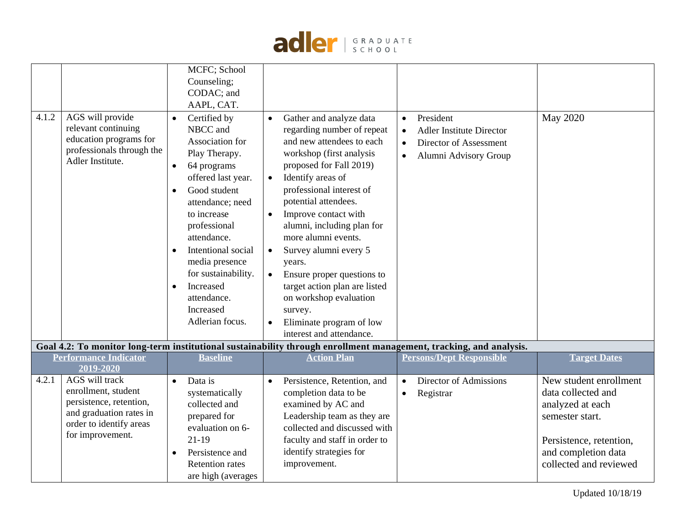

|       |                                                                                                                                                   | MCFC; School<br>Counseling;                                                                                                                                                                                                                                                                                                                                                     |                                                                                                                                                                                                                                                                                                                                                                                                                                                                                                                                       |                                                                                                                           |                                                                                                                                                                 |
|-------|---------------------------------------------------------------------------------------------------------------------------------------------------|---------------------------------------------------------------------------------------------------------------------------------------------------------------------------------------------------------------------------------------------------------------------------------------------------------------------------------------------------------------------------------|---------------------------------------------------------------------------------------------------------------------------------------------------------------------------------------------------------------------------------------------------------------------------------------------------------------------------------------------------------------------------------------------------------------------------------------------------------------------------------------------------------------------------------------|---------------------------------------------------------------------------------------------------------------------------|-----------------------------------------------------------------------------------------------------------------------------------------------------------------|
|       |                                                                                                                                                   | CODAC; and                                                                                                                                                                                                                                                                                                                                                                      |                                                                                                                                                                                                                                                                                                                                                                                                                                                                                                                                       |                                                                                                                           |                                                                                                                                                                 |
|       |                                                                                                                                                   | AAPL, CAT.                                                                                                                                                                                                                                                                                                                                                                      |                                                                                                                                                                                                                                                                                                                                                                                                                                                                                                                                       |                                                                                                                           |                                                                                                                                                                 |
| 4.1.2 | AGS will provide<br>relevant continuing<br>education programs for<br>professionals through the<br>Adler Institute.                                | Certified by<br>$\bullet$<br>NBCC and<br>Association for<br>Play Therapy.<br>64 programs<br>$\bullet$<br>offered last year.<br>Good student<br>$\bullet$<br>attendance; need<br>to increase<br>professional<br>attendance.<br>Intentional social<br>$\bullet$<br>media presence<br>for sustainability.<br>Increased<br>$\bullet$<br>attendance.<br>Increased<br>Adlerian focus. | Gather and analyze data<br>regarding number of repeat<br>and new attendees to each<br>workshop (first analysis<br>proposed for Fall 2019)<br>Identify areas of<br>$\bullet$<br>professional interest of<br>potential attendees.<br>Improve contact with<br>$\bullet$<br>alumni, including plan for<br>more alumni events.<br>Survey alumni every 5<br>$\bullet$<br>years.<br>Ensure proper questions to<br>target action plan are listed<br>on workshop evaluation<br>survey.<br>Eliminate program of low<br>interest and attendance. | President<br>$\bullet$<br><b>Adler Institute Director</b><br>Director of Assessment<br>$\bullet$<br>Alumni Advisory Group | <b>May 2020</b>                                                                                                                                                 |
|       |                                                                                                                                                   |                                                                                                                                                                                                                                                                                                                                                                                 | Goal 4.2: To monitor long-term institutional sustainability through enrollment management, tracking, and analysis.                                                                                                                                                                                                                                                                                                                                                                                                                    |                                                                                                                           |                                                                                                                                                                 |
|       | <b>Performance Indicator</b><br>2019-2020                                                                                                         | <b>Baseline</b>                                                                                                                                                                                                                                                                                                                                                                 | <b>Action Plan</b>                                                                                                                                                                                                                                                                                                                                                                                                                                                                                                                    | <b>Persons/Dept Responsible</b>                                                                                           | <b>Target Dates</b>                                                                                                                                             |
| 4.2.1 | <b>AGS</b> will track<br>enrollment, student<br>persistence, retention,<br>and graduation rates in<br>order to identify areas<br>for improvement. | Data is<br>$\bullet$<br>systematically<br>collected and<br>prepared for<br>evaluation on 6-<br>$21-19$<br>Persistence and<br>$\bullet$<br><b>Retention</b> rates<br>are high (averages                                                                                                                                                                                          | Persistence, Retention, and<br>$\bullet$<br>completion data to be<br>examined by AC and<br>Leadership team as they are<br>collected and discussed with<br>faculty and staff in order to<br>identify strategies for<br>improvement.                                                                                                                                                                                                                                                                                                    | Director of Admissions<br>$\bullet$<br>Registrar                                                                          | New student enrollment<br>data collected and<br>analyzed at each<br>semester start.<br>Persistence, retention,<br>and completion data<br>collected and reviewed |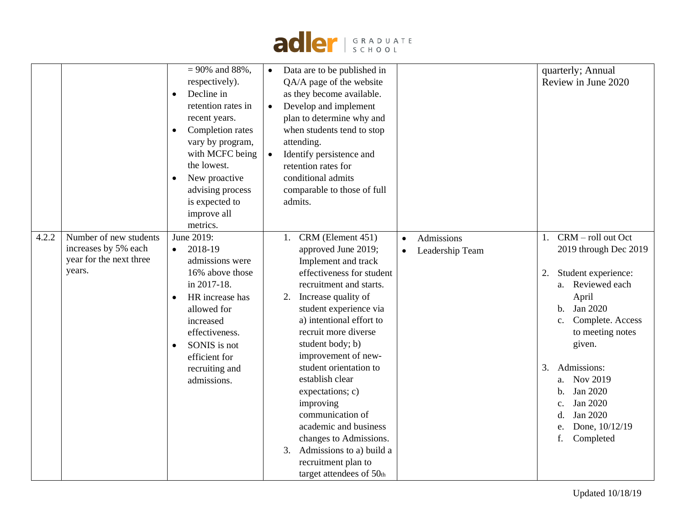

|       |                                                                                     | $= 90\%$ and 88%.<br>respectively).<br>Decline in<br>retention rates in<br>recent years.<br>Completion rates<br>vary by program,<br>with MCFC being<br>the lowest.<br>New proactive<br>advising process<br>is expected to<br>improve all<br>metrics. | Data are to be published in<br>$\bullet$<br>QA/A page of the website<br>as they become available.<br>Develop and implement<br>$\bullet$<br>plan to determine why and<br>when students tend to stop<br>attending.<br>Identify persistence and<br>retention rates for<br>conditional admits<br>comparable to those of full<br>admits.                                                                                                                                                                                                                                                   | quarterly; Annual<br>Review in June 2020                                                                                                                                                                                                                                                                                                              |
|-------|-------------------------------------------------------------------------------------|------------------------------------------------------------------------------------------------------------------------------------------------------------------------------------------------------------------------------------------------------|---------------------------------------------------------------------------------------------------------------------------------------------------------------------------------------------------------------------------------------------------------------------------------------------------------------------------------------------------------------------------------------------------------------------------------------------------------------------------------------------------------------------------------------------------------------------------------------|-------------------------------------------------------------------------------------------------------------------------------------------------------------------------------------------------------------------------------------------------------------------------------------------------------------------------------------------------------|
| 4.2.2 | Number of new students<br>increases by 5% each<br>year for the next three<br>years. | June 2019:<br>2018-19<br>$\bullet$<br>admissions were<br>16% above those<br>in 2017-18.<br>HR increase has<br>allowed for<br>increased<br>effectiveness.<br>SONIS is not<br>$\bullet$<br>efficient for<br>recruiting and<br>admissions.              | CRM (Element 451)<br>Admissions<br>1.<br>$\bullet$<br>approved June 2019;<br>Leadership Team<br>$\bullet$<br>Implement and track<br>effectiveness for student<br>recruitment and starts.<br>2. Increase quality of<br>student experience via<br>a) intentional effort to<br>recruit more diverse<br>student body; b)<br>improvement of new-<br>student orientation to<br>establish clear<br>expectations; c)<br>improving<br>communication of<br>academic and business<br>changes to Admissions.<br>Admissions to a) build a<br>3.<br>recruitment plan to<br>target attendees of 50th | CRM - roll out Oct<br>1.<br>2019 through Dec 2019<br>Student experience:<br>2.<br>a. Reviewed each<br>April<br>Jan 2020<br>$\mathbf{b}$ .<br>Complete. Access<br>c.<br>to meeting notes<br>given.<br>Admissions:<br>3.<br>Nov 2019<br>a.<br>Jan 2020<br>$\mathbf{b}$ .<br>Jan 2020<br>c.<br>Jan 2020<br>d.<br>Done, 10/12/19<br>e.<br>f.<br>Completed |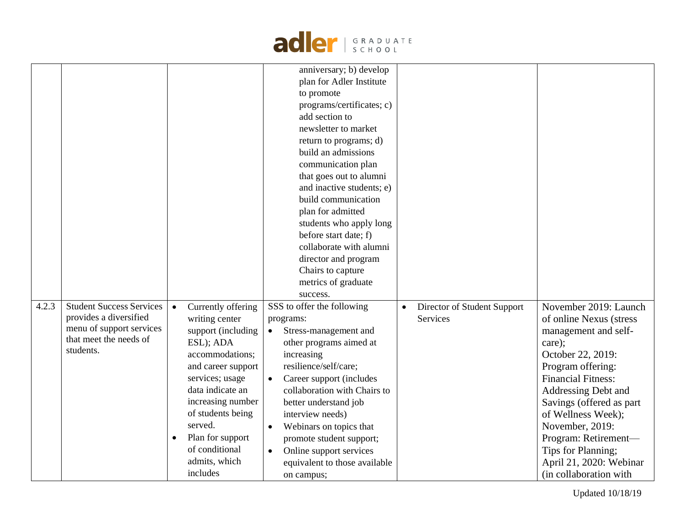|       |                                                                                                                              |                                                                                                                                                                                                                                                                                                           | adler   GRADUATE                                                                                                                                                                                                                                                                                                                                                                                                                                                                   |                                                             |                                                                                                                                                                                                                                                                                                                                                          |
|-------|------------------------------------------------------------------------------------------------------------------------------|-----------------------------------------------------------------------------------------------------------------------------------------------------------------------------------------------------------------------------------------------------------------------------------------------------------|------------------------------------------------------------------------------------------------------------------------------------------------------------------------------------------------------------------------------------------------------------------------------------------------------------------------------------------------------------------------------------------------------------------------------------------------------------------------------------|-------------------------------------------------------------|----------------------------------------------------------------------------------------------------------------------------------------------------------------------------------------------------------------------------------------------------------------------------------------------------------------------------------------------------------|
|       |                                                                                                                              |                                                                                                                                                                                                                                                                                                           | anniversary; b) develop<br>plan for Adler Institute<br>to promote<br>programs/certificates; c)<br>add section to<br>newsletter to market<br>return to programs; d)<br>build an admissions<br>communication plan<br>that goes out to alumni<br>and inactive students; e)<br>build communication<br>plan for admitted<br>students who apply long<br>before start date; f)<br>collaborate with alumni<br>director and program<br>Chairs to capture<br>metrics of graduate<br>success. |                                                             |                                                                                                                                                                                                                                                                                                                                                          |
| 4.2.3 | <b>Student Success Services</b><br>provides a diversified<br>menu of support services<br>that meet the needs of<br>students. | Currently offering<br>$\bullet$<br>writing center<br>support (including<br>ESL); ADA<br>accommodations;<br>and career support<br>services; usage<br>data indicate an<br>increasing number<br>of students being<br>served.<br>Plan for support<br>$\bullet$<br>of conditional<br>admits, which<br>includes | SSS to offer the following<br>programs:<br>Stress-management and<br>other programs aimed at<br>increasing<br>resilience/self/care;<br>Career support (includes<br>$\bullet$<br>collaboration with Chairs to<br>better understand job<br>interview needs)<br>Webinars on topics that<br>$\bullet$<br>promote student support;<br>Online support services<br>$\bullet$<br>equivalent to those available<br>on campus;                                                                | Director of Student Support<br>$\bullet$<br><b>Services</b> | November 2019: Launch<br>of online Nexus (stress<br>management and self-<br>care);<br>October 22, 2019:<br>Program offering:<br><b>Financial Fitness:</b><br>Addressing Debt and<br>Savings (offered as part<br>of Wellness Week);<br>November, 2019:<br>Program: Retirement-<br>Tips for Planning;<br>April 21, 2020: Webinar<br>(in collaboration with |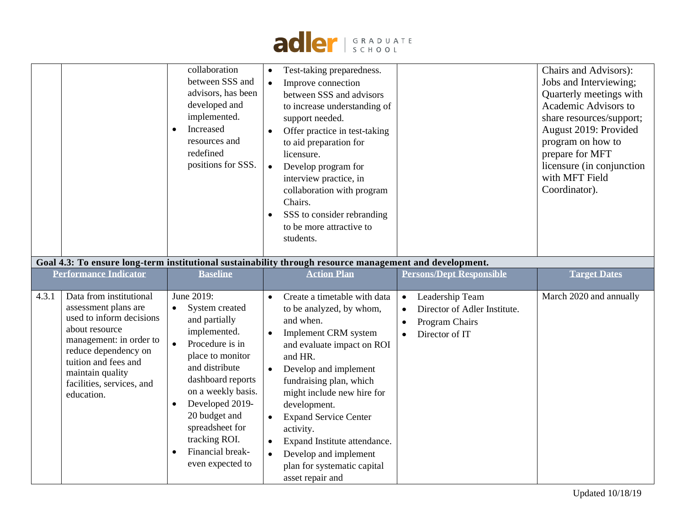

|                                                          | collaboration<br>between SSS and<br>advisors, has been<br>developed and<br>implemented.<br>Increased<br>resources and<br>redefined<br>positions for SSS. | Test-taking preparedness.<br>$\bullet$<br>Improve connection<br>$\bullet$<br>between SSS and advisors<br>to increase understanding of<br>support needed.<br>Offer practice in test-taking<br>$\bullet$<br>to aid preparation for<br>licensure.<br>Develop program for<br>$\bullet$<br>interview practice, in<br>collaboration with program<br>Chairs.<br>SSS to consider rebranding<br>$\bullet$<br>to be more attractive to<br>students. |                                 | Chairs and Advisors):<br>Jobs and Interviewing;<br>Quarterly meetings with<br>Academic Advisors to<br>share resources/support;<br>August 2019: Provided<br>program on how to<br>prepare for MFT<br>licensure (in conjunction)<br>with MFT Field<br>Coordinator). |
|----------------------------------------------------------|----------------------------------------------------------------------------------------------------------------------------------------------------------|-------------------------------------------------------------------------------------------------------------------------------------------------------------------------------------------------------------------------------------------------------------------------------------------------------------------------------------------------------------------------------------------------------------------------------------------|---------------------------------|------------------------------------------------------------------------------------------------------------------------------------------------------------------------------------------------------------------------------------------------------------------|
|                                                          |                                                                                                                                                          | Goal 4.3: To ensure long-term institutional sustainability through resource management and development.                                                                                                                                                                                                                                                                                                                                   |                                 |                                                                                                                                                                                                                                                                  |
| <b>Performance Indicator</b>                             | <b>Baseline</b>                                                                                                                                          | <b>Action Plan</b>                                                                                                                                                                                                                                                                                                                                                                                                                        | <b>Persons/Dept Responsible</b> | <b>Target Dates</b>                                                                                                                                                                                                                                              |
| 4.3.1<br>Data from institutional<br>assessment plans are | June 2019:                                                                                                                                               | Create a timetable with data<br>$\bullet$                                                                                                                                                                                                                                                                                                                                                                                                 | Leadership Team<br>$\bullet$    |                                                                                                                                                                                                                                                                  |

asset repair and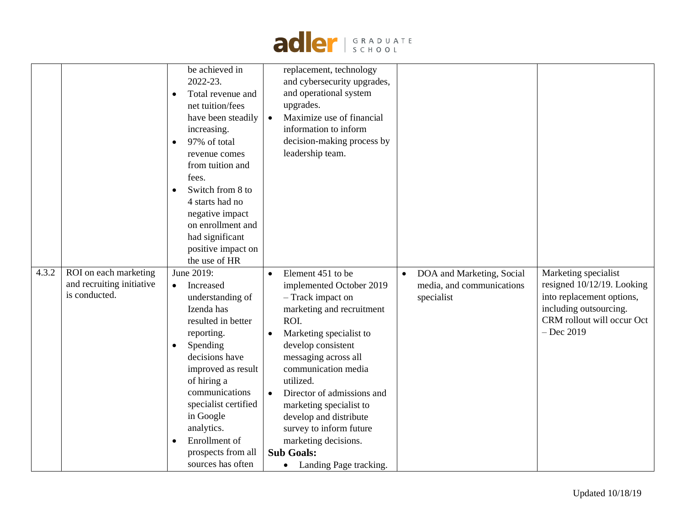

|       |                                                                     | be achieved in<br>2022-23.<br>Total revenue and<br>$\bullet$<br>net tuition/fees<br>have been steadily<br>increasing.<br>97% of total<br>revenue comes<br>from tuition and<br>fees.<br>Switch from 8 to<br>$\bullet$<br>4 starts had no<br>negative impact<br>on enrollment and<br>had significant<br>positive impact on<br>the use of HR | replacement, technology<br>and cybersecurity upgrades,<br>and operational system<br>upgrades.<br>Maximize use of financial<br>$\bullet$<br>information to inform<br>decision-making process by<br>leadership team.                 |                                                                                   |                                                                                                                                                         |
|-------|---------------------------------------------------------------------|-------------------------------------------------------------------------------------------------------------------------------------------------------------------------------------------------------------------------------------------------------------------------------------------------------------------------------------------|------------------------------------------------------------------------------------------------------------------------------------------------------------------------------------------------------------------------------------|-----------------------------------------------------------------------------------|---------------------------------------------------------------------------------------------------------------------------------------------------------|
| 4.3.2 | ROI on each marketing<br>and recruiting initiative<br>is conducted. | June 2019:<br>Increased<br>$\bullet$<br>understanding of<br>Izenda has<br>resulted in better<br>reporting.<br>Spending<br>$\bullet$<br>decisions have                                                                                                                                                                                     | Element 451 to be<br>$\bullet$<br>implemented October 2019<br>- Track impact on<br>marketing and recruitment<br>ROI.<br>Marketing specialist to<br>$\bullet$<br>develop consistent<br>messaging across all                         | DOA and Marketing, Social<br>$\bullet$<br>media, and communications<br>specialist | Marketing specialist<br>resigned 10/12/19. Looking<br>into replacement options,<br>including outsourcing.<br>CRM rollout will occur Oct<br>$-$ Dec 2019 |
|       |                                                                     | improved as result<br>of hiring a<br>communications<br>specialist certified<br>in Google<br>analytics.<br>Enrollment of<br>prospects from all<br>sources has often                                                                                                                                                                        | communication media<br>utilized.<br>Director of admissions and<br>marketing specialist to<br>develop and distribute<br>survey to inform future<br>marketing decisions.<br><b>Sub Goals:</b><br>Landing Page tracking.<br>$\bullet$ |                                                                                   |                                                                                                                                                         |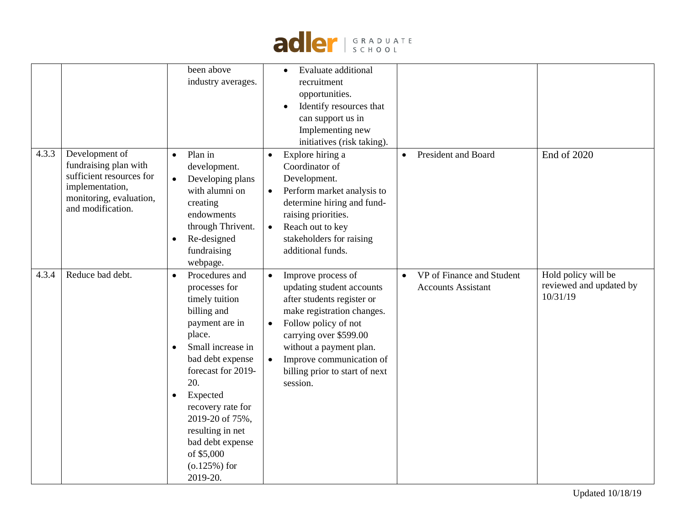

|       |                                                                                                                                        | been above<br>industry averages.                                                                                                                                                                                                                                                                                        | Evaluate additional<br>recruitment<br>opportunities.<br>Identify resources that<br>$\bullet$<br>can support us in<br>Implementing new<br>initiatives (risk taking).                                                                                                             |                                                                     |                                                            |
|-------|----------------------------------------------------------------------------------------------------------------------------------------|-------------------------------------------------------------------------------------------------------------------------------------------------------------------------------------------------------------------------------------------------------------------------------------------------------------------------|---------------------------------------------------------------------------------------------------------------------------------------------------------------------------------------------------------------------------------------------------------------------------------|---------------------------------------------------------------------|------------------------------------------------------------|
| 4.3.3 | Development of<br>fundraising plan with<br>sufficient resources for<br>implementation,<br>monitoring, evaluation,<br>and modification. | Plan in<br>$\bullet$<br>development.<br>Developing plans<br>with alumni on<br>creating<br>endowments<br>through Thrivent.<br>Re-designed<br>fundraising<br>webpage.                                                                                                                                                     | Explore hiring a<br>$\bullet$<br>Coordinator of<br>Development.<br>Perform market analysis to<br>$\bullet$<br>determine hiring and fund-<br>raising priorities.<br>Reach out to key<br>$\bullet$<br>stakeholders for raising<br>additional funds.                               | President and Board<br>$\bullet$                                    | End of 2020                                                |
| 4.3.4 | Reduce bad debt.                                                                                                                       | Procedures and<br>$\bullet$<br>processes for<br>timely tuition<br>billing and<br>payment are in<br>place.<br>Small increase in<br>bad debt expense<br>forecast for 2019-<br>20.<br>Expected<br>recovery rate for<br>2019-20 of 75%,<br>resulting in net<br>bad debt expense<br>of \$5,000<br>$(0.125%)$ for<br>2019-20. | Improve process of<br>updating student accounts<br>after students register or<br>make registration changes.<br>Follow policy of not<br>$\bullet$<br>carrying over \$599.00<br>without a payment plan.<br>Improve communication of<br>billing prior to start of next<br>session. | VP of Finance and Student<br>$\bullet$<br><b>Accounts Assistant</b> | Hold policy will be<br>reviewed and updated by<br>10/31/19 |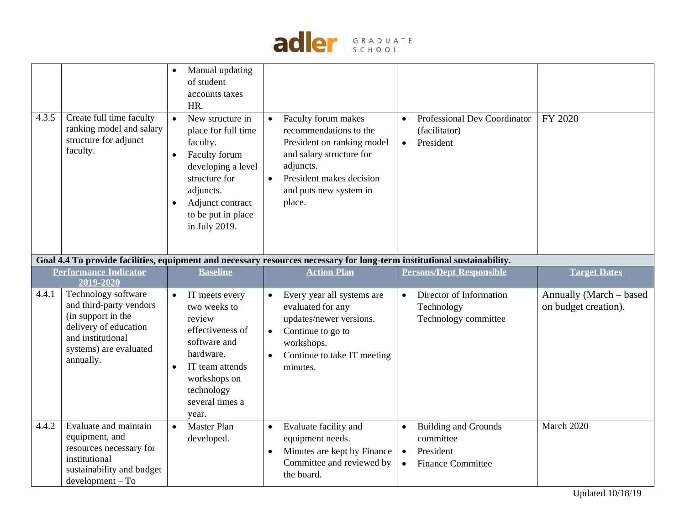

| 4.3.5 | Create full time faculty<br>ranking model and salary<br>structure for adjunct<br>faculty.                                                                 | Manual updating<br>of student<br>accounts taxes<br>HR.<br>New structure in<br>$\bullet$<br>place for full time<br>faculty.<br>Faculty forum<br>$\bullet$<br>developing a level<br>structure for<br>adjuncts.<br>Adjunct contract<br>to be put in place<br>in July 2019. | Faculty forum makes<br>recommendations to the<br>President on ranking model<br>and salary structure for<br>adjuncts.<br>President makes decision<br>$\bullet$<br>and puts new system in<br>place. | <b>Professional Dev Coordinator</b><br>$\bullet$<br>(facilitator)<br>President<br>$\bullet$                              | FY 2020                                         |
|-------|-----------------------------------------------------------------------------------------------------------------------------------------------------------|-------------------------------------------------------------------------------------------------------------------------------------------------------------------------------------------------------------------------------------------------------------------------|---------------------------------------------------------------------------------------------------------------------------------------------------------------------------------------------------|--------------------------------------------------------------------------------------------------------------------------|-------------------------------------------------|
|       |                                                                                                                                                           |                                                                                                                                                                                                                                                                         | Goal 4.4 To provide facilities, equipment and necessary resources necessary for long-term institutional sustainability.                                                                           |                                                                                                                          |                                                 |
|       | <b>Performance Indicator</b><br>2019-2020                                                                                                                 | <b>Baseline</b>                                                                                                                                                                                                                                                         | <b>Action Plan</b>                                                                                                                                                                                | <b>Persons/Dept Responsible</b>                                                                                          | <b>Target Dates</b>                             |
| 4.4.1 | Technology software<br>and third-party vendors<br>(in support in the<br>delivery of education<br>and institutional<br>systems) are evaluated<br>annually. | IT meets every<br>two weeks to<br>review<br>effectiveness of<br>software and<br>hardware.<br>IT team attends<br>workshops on<br>technology<br>several times a<br>year.                                                                                                  | Every year all systems are<br>$\bullet$<br>evaluated for any<br>updates/newer versions.<br>Continue to go to<br>$\bullet$<br>workshops.<br>Continue to take IT meeting<br>$\bullet$<br>minutes.   | Director of Information<br>Technology<br>Technology committee                                                            | Annually (March – based<br>on budget creation). |
| 4.4.2 | Evaluate and maintain<br>equipment, and<br>resources necessary for<br>institutional<br>sustainability and budget<br>$development - To$                    | <b>Master Plan</b><br>developed.                                                                                                                                                                                                                                        | Evaluate facility and<br>$\bullet$<br>equipment needs.<br>Minutes are kept by Finance<br>$\bullet$<br>Committee and reviewed by<br>the board.                                                     | <b>Building and Grounds</b><br>$\bullet$<br>committee<br>President<br>$\bullet$<br><b>Finance Committee</b><br>$\bullet$ | March 2020                                      |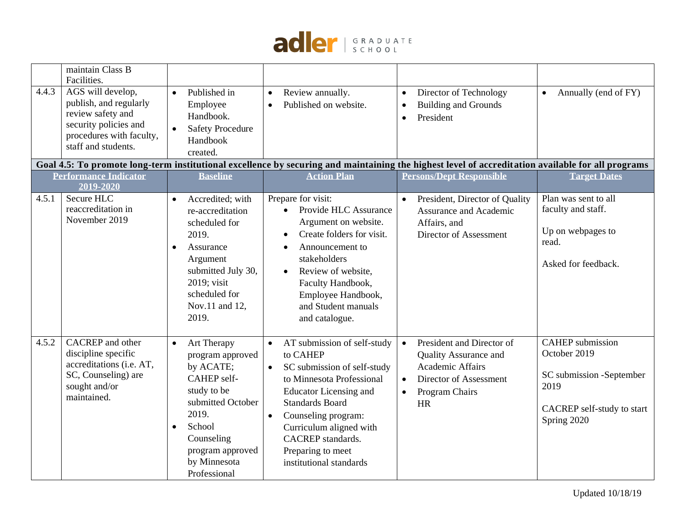

|       | maintain Class B<br>Facilities.                                                                                                              |                                                                                                                                                                                                                |                                                                                                                                                                                                                                                                                                                                     |                                                                                                                                                                                                                                                                |                                                                                                                          |
|-------|----------------------------------------------------------------------------------------------------------------------------------------------|----------------------------------------------------------------------------------------------------------------------------------------------------------------------------------------------------------------|-------------------------------------------------------------------------------------------------------------------------------------------------------------------------------------------------------------------------------------------------------------------------------------------------------------------------------------|----------------------------------------------------------------------------------------------------------------------------------------------------------------------------------------------------------------------------------------------------------------|--------------------------------------------------------------------------------------------------------------------------|
| 4.4.3 | AGS will develop,<br>publish, and regularly<br>review safety and<br>security policies and<br>procedures with faculty,<br>staff and students. | Published in<br>$\bullet$<br>Employee<br>Handbook.<br><b>Safety Procedure</b><br>Handbook<br>created.                                                                                                          | Review annually.<br>$\bullet$<br>Published on website.<br>$\bullet$                                                                                                                                                                                                                                                                 | Director of Technology<br>$\bullet$<br><b>Building and Grounds</b><br>$\bullet$<br>President<br>$\bullet$<br>Goal 4.5: To promote long-term institutional excellence by securing and maintaining the highest level of accreditation available for all programs | Annually (end of FY)<br>$\bullet$                                                                                        |
|       | <b>Performance Indicator</b><br>2019-2020                                                                                                    | <b>Baseline</b>                                                                                                                                                                                                | <b>Action Plan</b>                                                                                                                                                                                                                                                                                                                  | <b>Persons/Dept Responsible</b>                                                                                                                                                                                                                                | <b>Target Dates</b>                                                                                                      |
| 4.5.1 | Secure HLC<br>reaccreditation in<br>November 2019                                                                                            | Accredited; with<br>$\bullet$<br>re-accreditation<br>scheduled for<br>2019.<br>Assurance<br>$\bullet$<br>Argument<br>submitted July 30,<br>2019; visit<br>scheduled for<br>Nov.11 and 12,<br>2019.             | Prepare for visit:<br>Provide HLC Assurance<br>$\bullet$<br>Argument on website.<br>Create folders for visit.<br>$\bullet$<br>Announcement to<br>$\bullet$<br>stakeholders<br>Review of website.<br>$\bullet$<br>Faculty Handbook,<br>Employee Handbook,<br>and Student manuals<br>and catalogue.                                   | President, Director of Quality<br>$\bullet$<br>Assurance and Academic<br>Affairs, and<br>Director of Assessment                                                                                                                                                | Plan was sent to all<br>faculty and staff.<br>Up on webpages to<br>read.<br>Asked for feedback.                          |
| 4.5.2 | CACREP and other<br>discipline specific<br>accreditations (i.e. AT,<br>SC, Counseling) are<br>sought and/or<br>maintained.                   | Art Therapy<br>$\bullet$<br>program approved<br>by ACATE;<br>CAHEP self-<br>study to be<br>submitted October<br>2019.<br>School<br>$\bullet$<br>Counseling<br>program approved<br>by Minnesota<br>Professional | AT submission of self-study<br>$\bullet$<br>to CAHEP<br>SC submission of self-study<br>$\bullet$<br>to Minnesota Professional<br><b>Educator Licensing and</b><br><b>Standards Board</b><br>Counseling program:<br>$\bullet$<br>Curriculum aligned with<br><b>CACREP</b> standards.<br>Preparing to meet<br>institutional standards | President and Director of<br>$\bullet$<br><b>Quality Assurance and</b><br><b>Academic Affairs</b><br>Director of Assessment<br>$\bullet$<br>Program Chairs<br>$\bullet$<br>HR                                                                                  | <b>CAHEP</b> submission<br>October 2019<br>SC submission -September<br>2019<br>CACREP self-study to start<br>Spring 2020 |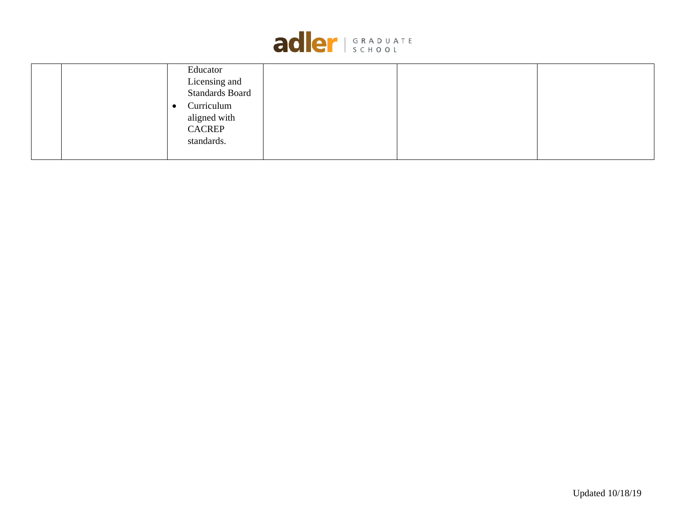

| Educator                |
|-------------------------|
| Licensing and           |
| <b>Standards Board</b>  |
| Curriculum<br>$\bullet$ |
| aligned with            |
| <b>CACREP</b>           |
| standards.              |
|                         |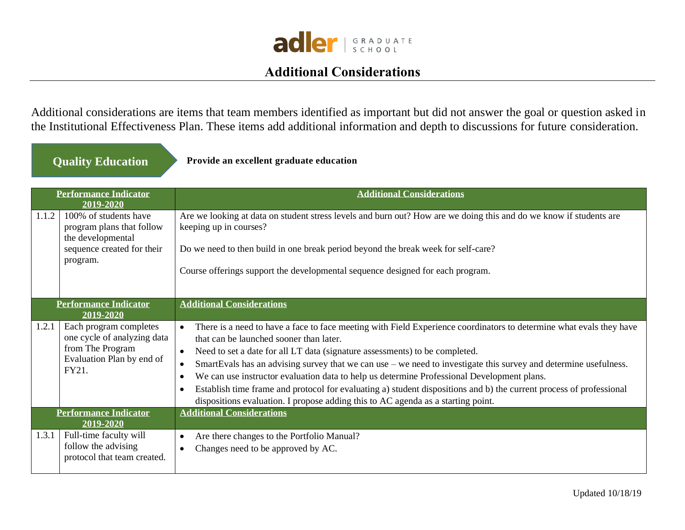

## **Additional Considerations**

<span id="page-29-0"></span>Additional considerations are items that team members identified as important but did not answer the goal or question asked in the Institutional Effectiveness Plan. These items add additional information and depth to discussions for future consideration.

## **Quality Education**

**Provide an excellent graduate education**

| <b>Performance Indicator</b><br>2019-2020 |                                                                                                                   | <b>Additional Considerations</b>                                                                                                                                                                                                                                                                                                                                                                                                                                                                                                                                                                                                                                                                                                            |
|-------------------------------------------|-------------------------------------------------------------------------------------------------------------------|---------------------------------------------------------------------------------------------------------------------------------------------------------------------------------------------------------------------------------------------------------------------------------------------------------------------------------------------------------------------------------------------------------------------------------------------------------------------------------------------------------------------------------------------------------------------------------------------------------------------------------------------------------------------------------------------------------------------------------------------|
| 1.1.2                                     | 100% of students have<br>program plans that follow<br>the developmental<br>sequence created for their<br>program. | Are we looking at data on student stress levels and burn out? How are we doing this and do we know if students are<br>keeping up in courses?<br>Do we need to then build in one break period beyond the break week for self-care?<br>Course offerings support the developmental sequence designed for each program.                                                                                                                                                                                                                                                                                                                                                                                                                         |
| <b>Performance Indicator</b><br>2019-2020 |                                                                                                                   | <b>Additional Considerations</b>                                                                                                                                                                                                                                                                                                                                                                                                                                                                                                                                                                                                                                                                                                            |
| 1.2.1                                     | Each program completes<br>one cycle of analyzing data<br>from The Program<br>Evaluation Plan by end of<br>FY21.   | There is a need to have a face to face meeting with Field Experience coordinators to determine what evals they have<br>$\bullet$<br>that can be launched sooner than later.<br>Need to set a date for all LT data (signature assessments) to be completed.<br>$\bullet$<br>SmartEvals has an advising survey that we can use – we need to investigate this survey and determine usefulness.<br>$\bullet$<br>We can use instructor evaluation data to help us determine Professional Development plans.<br>$\bullet$<br>Establish time frame and protocol for evaluating a) student dispositions and b) the current process of professional<br>$\bullet$<br>dispositions evaluation. I propose adding this to AC agenda as a starting point. |
|                                           | <b>Performance Indicator</b><br>2019-2020                                                                         | <b>Additional Considerations</b>                                                                                                                                                                                                                                                                                                                                                                                                                                                                                                                                                                                                                                                                                                            |
| 1.3.1                                     | Full-time faculty will<br>follow the advising<br>protocol that team created.                                      | Are there changes to the Portfolio Manual?<br>$\bullet$<br>Changes need to be approved by AC.<br>$\bullet$                                                                                                                                                                                                                                                                                                                                                                                                                                                                                                                                                                                                                                  |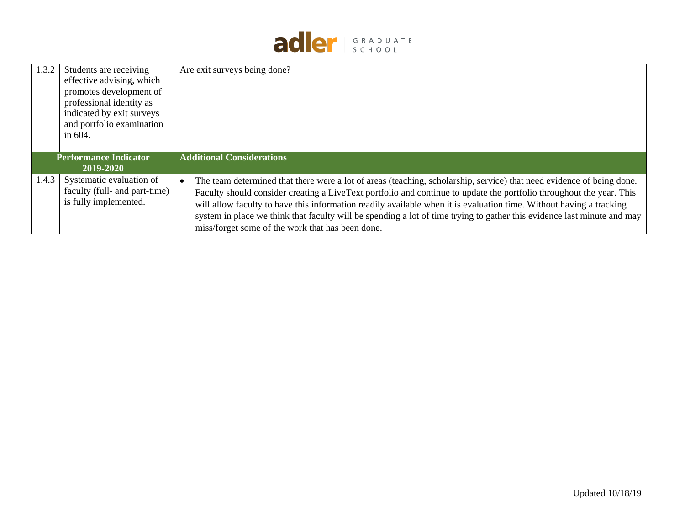

| 1.3.2                                            | Students are receiving<br>effective advising, which<br>promotes development of<br>professional identity as<br>indicated by exit surveys<br>and portfolio examination<br>in $604$ . | Are exit surveys being done?                                                                                                                                                                                                                                                                                                                                                                                                                                                                                                                                     |
|--------------------------------------------------|------------------------------------------------------------------------------------------------------------------------------------------------------------------------------------|------------------------------------------------------------------------------------------------------------------------------------------------------------------------------------------------------------------------------------------------------------------------------------------------------------------------------------------------------------------------------------------------------------------------------------------------------------------------------------------------------------------------------------------------------------------|
| <b>Performance Indicator</b><br><b>2019-2020</b> |                                                                                                                                                                                    | <b>Additional Considerations</b>                                                                                                                                                                                                                                                                                                                                                                                                                                                                                                                                 |
| 1.4.3                                            | Systematic evaluation of<br>faculty (full- and part-time)<br>is fully implemented.                                                                                                 | The team determined that there were a lot of areas (teaching, scholarship, service) that need evidence of being done.<br>$\bullet$<br>Faculty should consider creating a LiveText portfolio and continue to update the portfolio throughout the year. This<br>will allow faculty to have this information readily available when it is evaluation time. Without having a tracking<br>system in place we think that faculty will be spending a lot of time trying to gather this evidence last minute and may<br>miss/forget some of the work that has been done. |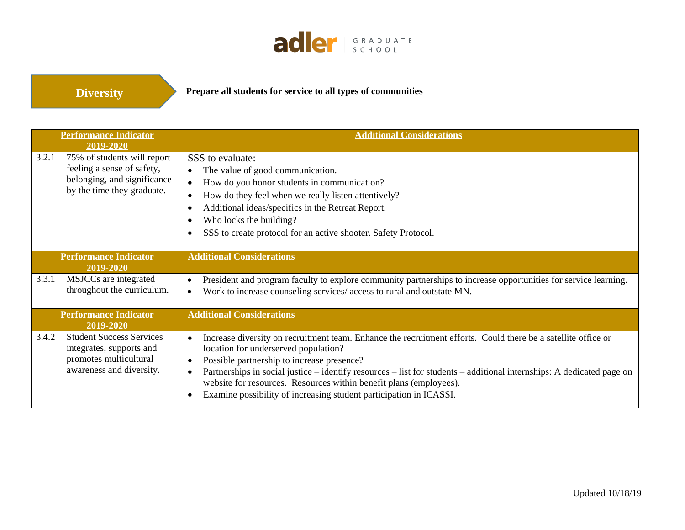

**Diversity**

**Prepare all students for service to all types of communities**

|                                           | <b>Performance Indicator</b>                                                                                           | <b>Additional Considerations</b>                                                                                                                                                                                                                                                                                                                                                                                                                                                                                |  |  |
|-------------------------------------------|------------------------------------------------------------------------------------------------------------------------|-----------------------------------------------------------------------------------------------------------------------------------------------------------------------------------------------------------------------------------------------------------------------------------------------------------------------------------------------------------------------------------------------------------------------------------------------------------------------------------------------------------------|--|--|
|                                           | 2019-2020                                                                                                              |                                                                                                                                                                                                                                                                                                                                                                                                                                                                                                                 |  |  |
| 3.2.1                                     | 75% of students will report<br>feeling a sense of safety,<br>belonging, and significance<br>by the time they graduate. | SSS to evaluate:<br>The value of good communication.<br>$\bullet$<br>How do you honor students in communication?<br>$\bullet$<br>How do they feel when we really listen attentively?<br>$\bullet$<br>Additional ideas/specifics in the Retreat Report.<br>$\bullet$<br>Who locks the building?<br>$\bullet$<br>SSS to create protocol for an active shooter. Safety Protocol.<br>$\bullet$                                                                                                                      |  |  |
| <b>Performance Indicator</b><br>2019-2020 |                                                                                                                        | <b>Additional Considerations</b>                                                                                                                                                                                                                                                                                                                                                                                                                                                                                |  |  |
| 3.3.1                                     | MSJCCs are integrated<br>throughout the curriculum.                                                                    | President and program faculty to explore community partnerships to increase opportunities for service learning.<br>$\bullet$<br>Work to increase counseling services/ access to rural and outstate MN.<br>$\bullet$                                                                                                                                                                                                                                                                                             |  |  |
|                                           | <b>Performance Indicator</b><br>2019-2020                                                                              | <b>Additional Considerations</b>                                                                                                                                                                                                                                                                                                                                                                                                                                                                                |  |  |
| 3.4.2                                     | <b>Student Success Services</b><br>integrates, supports and<br>promotes multicultural<br>awareness and diversity.      | Increase diversity on recruitment team. Enhance the recruitment efforts. Could there be a satellite office or<br>$\bullet$<br>location for underserved population?<br>Possible partnership to increase presence?<br>$\bullet$<br>Partnerships in social justice - identify resources - list for students - additional internships: A dedicated page on<br>$\bullet$<br>website for resources. Resources within benefit plans (employees).<br>Examine possibility of increasing student participation in ICASSI. |  |  |